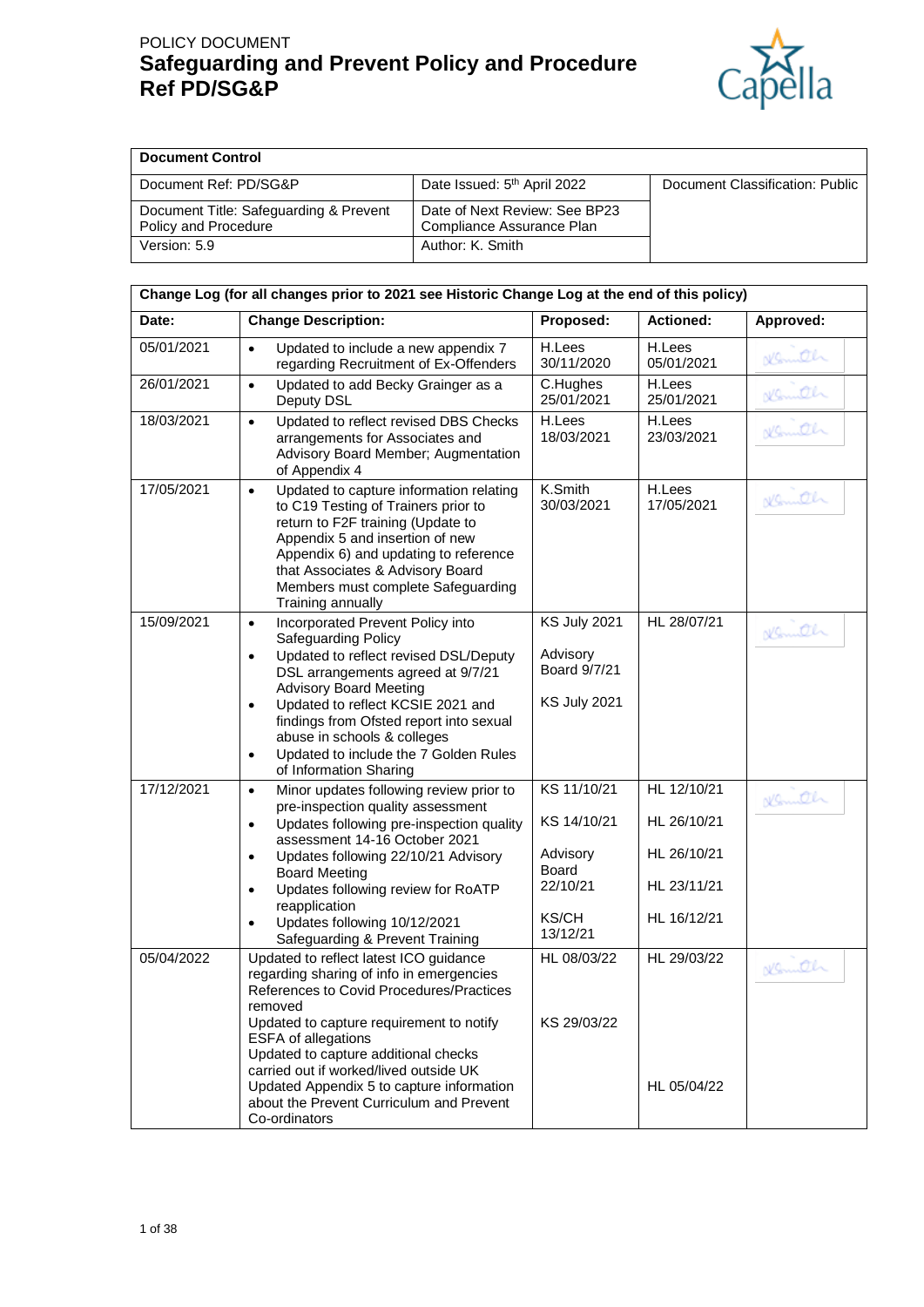

| <b>Document Control</b>                                        |                                                            |                                 |
|----------------------------------------------------------------|------------------------------------------------------------|---------------------------------|
| Document Ref: PD/SG&P                                          | Date Issued: 5 <sup>th</sup> April 2022                    | Document Classification: Public |
| Document Title: Safeguarding & Prevent<br>Policy and Procedure | Date of Next Review: See BP23<br>Compliance Assurance Plan |                                 |
| Version: 5.9                                                   | Author: K. Smith                                           |                                 |

| Date:                                                                       | <b>Change Description:</b>                                                                                                                                                                                                                                                                                                                                                                                   | Proposed:                                                              | <b>Actioned:</b>                          | Approved: |
|-----------------------------------------------------------------------------|--------------------------------------------------------------------------------------------------------------------------------------------------------------------------------------------------------------------------------------------------------------------------------------------------------------------------------------------------------------------------------------------------------------|------------------------------------------------------------------------|-------------------------------------------|-----------|
| 05/01/2021                                                                  | Updated to include a new appendix 7<br>$\bullet$<br>regarding Recruitment of Ex-Offenders                                                                                                                                                                                                                                                                                                                    | H.Lees<br>30/11/2020                                                   | H.Lees<br>05/01/2021                      | Nemath    |
| 26/01/2021                                                                  | Updated to add Becky Grainger as a<br>$\bullet$<br>Deputy DSL                                                                                                                                                                                                                                                                                                                                                | C.Hughes<br>25/01/2021                                                 | H.Lees<br>25/01/2021                      | Nemith    |
| 18/03/2021                                                                  | Updated to reflect revised DBS Checks<br>$\bullet$<br>arrangements for Associates and<br>Advisory Board Member; Augmentation<br>of Appendix 4                                                                                                                                                                                                                                                                | H.Lees<br>18/03/2021                                                   | H.Lees<br>23/03/2021                      | ollanich  |
| 17/05/2021                                                                  | Updated to capture information relating<br>$\bullet$<br>to C19 Testing of Trainers prior to<br>return to F2F training (Update to<br>Appendix 5 and insertion of new<br>Appendix 6) and updating to reference<br>that Associates & Advisory Board<br>Members must complete Safeguarding<br>Training annually                                                                                                  | K.Smith<br>30/03/2021                                                  | H.Lees<br>17/05/2021                      | Nemiter   |
| 15/09/2021                                                                  | Incorporated Prevent Policy into<br>$\bullet$<br>Safeguarding Policy<br>Updated to reflect revised DSL/Deputy<br>$\bullet$<br>DSL arrangements agreed at 9/7/21<br><b>Advisory Board Meeting</b><br>Updated to reflect KCSIE 2021 and<br>$\bullet$<br>findings from Ofsted report into sexual<br>abuse in schools & colleges<br>Updated to include the 7 Golden Rules<br>$\bullet$<br>of Information Sharing | <b>KS July 2021</b><br>Advisory<br>Board 9/7/21<br><b>KS July 2021</b> | HL 28/07/21                               | Nemeth    |
| 17/12/2021<br>$\bullet$<br>$\bullet$<br>$\bullet$<br>$\bullet$<br>$\bullet$ | Minor updates following review prior to<br>pre-inspection quality assessment<br>Updates following pre-inspection quality<br>assessment 14-16 October 2021<br>Updates following 22/10/21 Advisory                                                                                                                                                                                                             | KS 11/10/21<br>KS 14/10/21<br>Advisory                                 | HL 12/10/21<br>HL 26/10/21<br>HL 26/10/21 | Nemeth    |
|                                                                             | <b>Board Meeting</b><br>Updates following review for RoATP<br>reapplication<br>Updates following 10/12/2021<br>Safeguarding & Prevent Training                                                                                                                                                                                                                                                               | Board<br>22/10/21<br><b>KS/CH</b><br>13/12/21                          | HL 23/11/21<br>HL 16/12/21                |           |
| 05/04/2022                                                                  | Updated to reflect latest ICO guidance<br>regarding sharing of info in emergencies<br>References to Covid Procedures/Practices<br>removed<br>Updated to capture requirement to notify<br>ESFA of allegations<br>Updated to capture additional checks                                                                                                                                                         | HL 08/03/22<br>KS 29/03/22                                             | HL 29/03/22                               | Kenneth   |
|                                                                             | carried out if worked/lived outside UK<br>Updated Appendix 5 to capture information<br>about the Prevent Curriculum and Prevent<br>Co-ordinators                                                                                                                                                                                                                                                             |                                                                        | HL 05/04/22                               |           |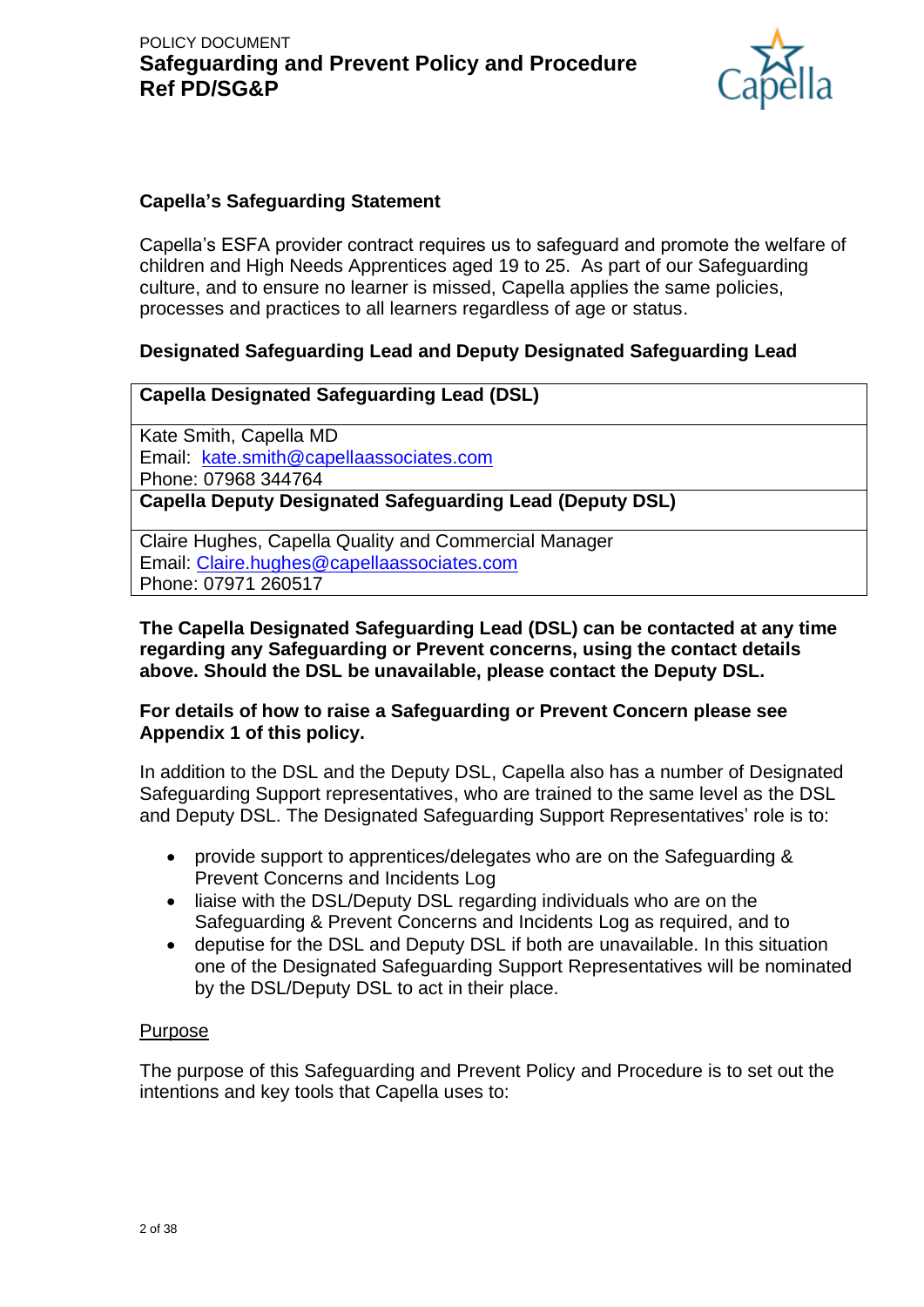

### **Capella's Safeguarding Statement**

Capella's ESFA provider contract requires us to safeguard and promote the welfare of children and High Needs Apprentices aged 19 to 25. As part of our Safeguarding culture, and to ensure no learner is missed, Capella applies the same policies, processes and practices to all learners regardless of age or status.

## **Designated Safeguarding Lead and Deputy Designated Safeguarding Lead**

### **Capella Designated Safeguarding Lead (DSL)**

Kate Smith, Capella MD Email: [kate.smith@capellaassociates.com](mailto:kate.smith@capellaassociates.com)  Phone: 07968 344764 **Capella Deputy Designated Safeguarding Lead (Deputy DSL)**

Claire Hughes, Capella Quality and Commercial Manager Email: [Claire.hughes@capellaassociates.com](mailto:Claire.hughes@capellaassociates.com) Phone: 07971 260517

#### **The Capella Designated Safeguarding Lead (DSL) can be contacted at any time regarding any Safeguarding or Prevent concerns, using the contact details above. Should the DSL be unavailable, please contact the Deputy DSL.**

### **For details of how to raise a Safeguarding or Prevent Concern please see Appendix 1 of this policy.**

In addition to the DSL and the Deputy DSL, Capella also has a number of Designated Safeguarding Support representatives, who are trained to the same level as the DSL and Deputy DSL. The Designated Safeguarding Support Representatives' role is to:

- provide support to apprentices/delegates who are on the Safeguarding & Prevent Concerns and Incidents Log
- liaise with the DSL/Deputy DSL regarding individuals who are on the Safeguarding & Prevent Concerns and Incidents Log as required, and to
- deputise for the DSL and Deputy DSL if both are unavailable. In this situation one of the Designated Safeguarding Support Representatives will be nominated by the DSL/Deputy DSL to act in their place.

### Purpose

The purpose of this Safeguarding and Prevent Policy and Procedure is to set out the intentions and key tools that Capella uses to: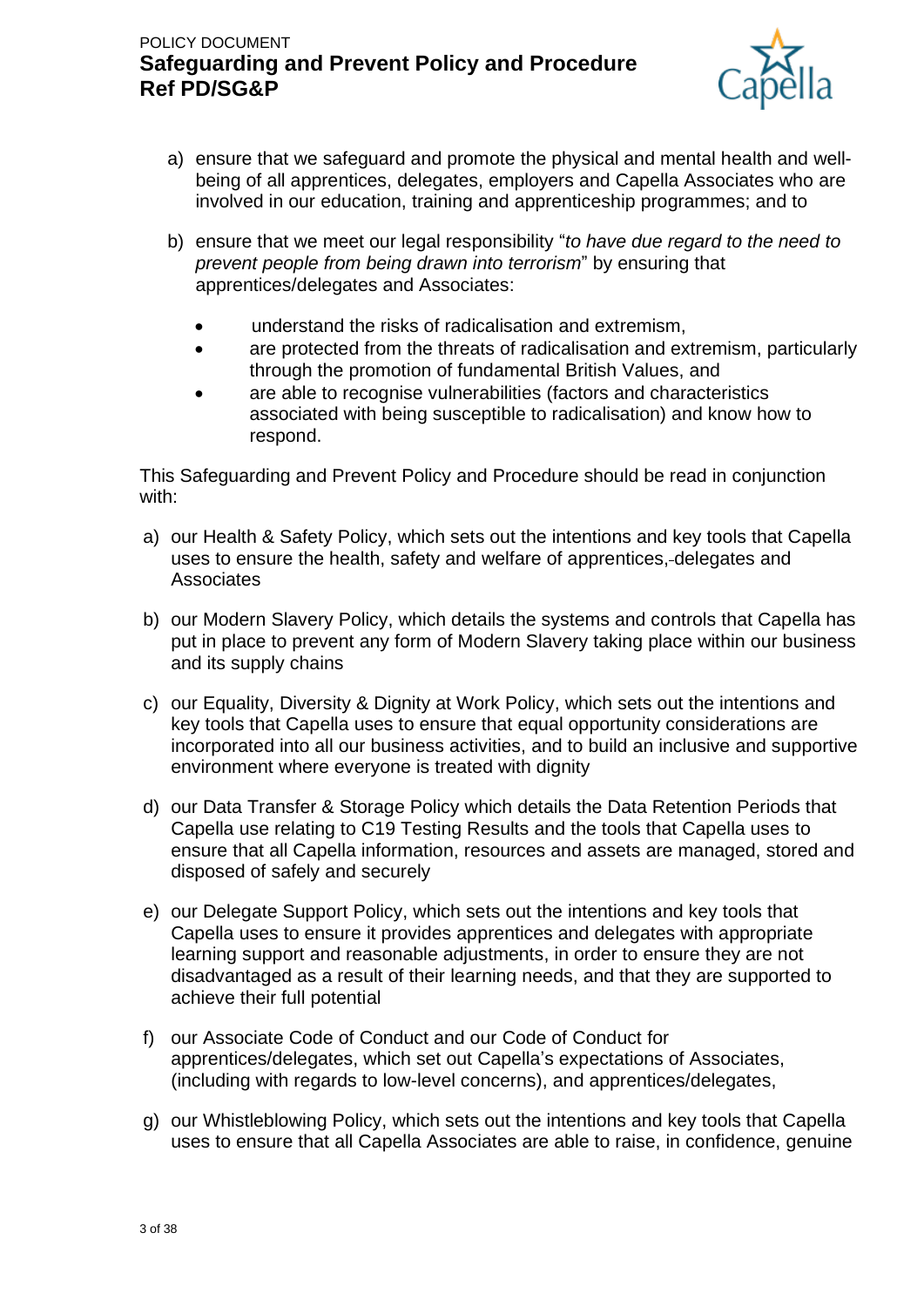

- a) ensure that we safeguard and promote the physical and mental health and wellbeing of all apprentices, delegates, employers and Capella Associates who are involved in our education, training and apprenticeship programmes; and to
- b) ensure that we meet our legal responsibility "*to have due regard to the need to prevent people from being drawn into terrorism*" by ensuring that apprentices/delegates and Associates:
	- understand the risks of radicalisation and extremism,
	- are protected from the threats of radicalisation and extremism, particularly through the promotion of fundamental British Values, and
	- are able to recognise vulnerabilities (factors and characteristics associated with being susceptible to radicalisation) and know how to respond.

This Safeguarding and Prevent Policy and Procedure should be read in conjunction with:

- a) our Health & Safety Policy, which sets out the intentions and key tools that Capella uses to ensure the health, safety and welfare of apprentices, delegates and Associates
- b) our Modern Slavery Policy, which details the systems and controls that Capella has put in place to prevent any form of Modern Slavery taking place within our business and its supply chains
- c) our Equality, Diversity & Dignity at Work Policy, which sets out the intentions and key tools that Capella uses to ensure that equal opportunity considerations are incorporated into all our business activities, and to build an inclusive and supportive environment where everyone is treated with dignity
- d) our Data Transfer & Storage Policy which details the Data Retention Periods that Capella use relating to C19 Testing Results and the tools that Capella uses to ensure that all Capella information, resources and assets are managed, stored and disposed of safely and securely
- e) our Delegate Support Policy, which sets out the intentions and key tools that Capella uses to ensure it provides apprentices and delegates with appropriate learning support and reasonable adjustments, in order to ensure they are not disadvantaged as a result of their learning needs, and that they are supported to achieve their full potential
- f) our Associate Code of Conduct and our Code of Conduct for apprentices/delegates, which set out Capella's expectations of Associates, (including with regards to low-level concerns), and apprentices/delegates,
- g) our Whistleblowing Policy, which sets out the intentions and key tools that Capella uses to ensure that all Capella Associates are able to raise, in confidence, genuine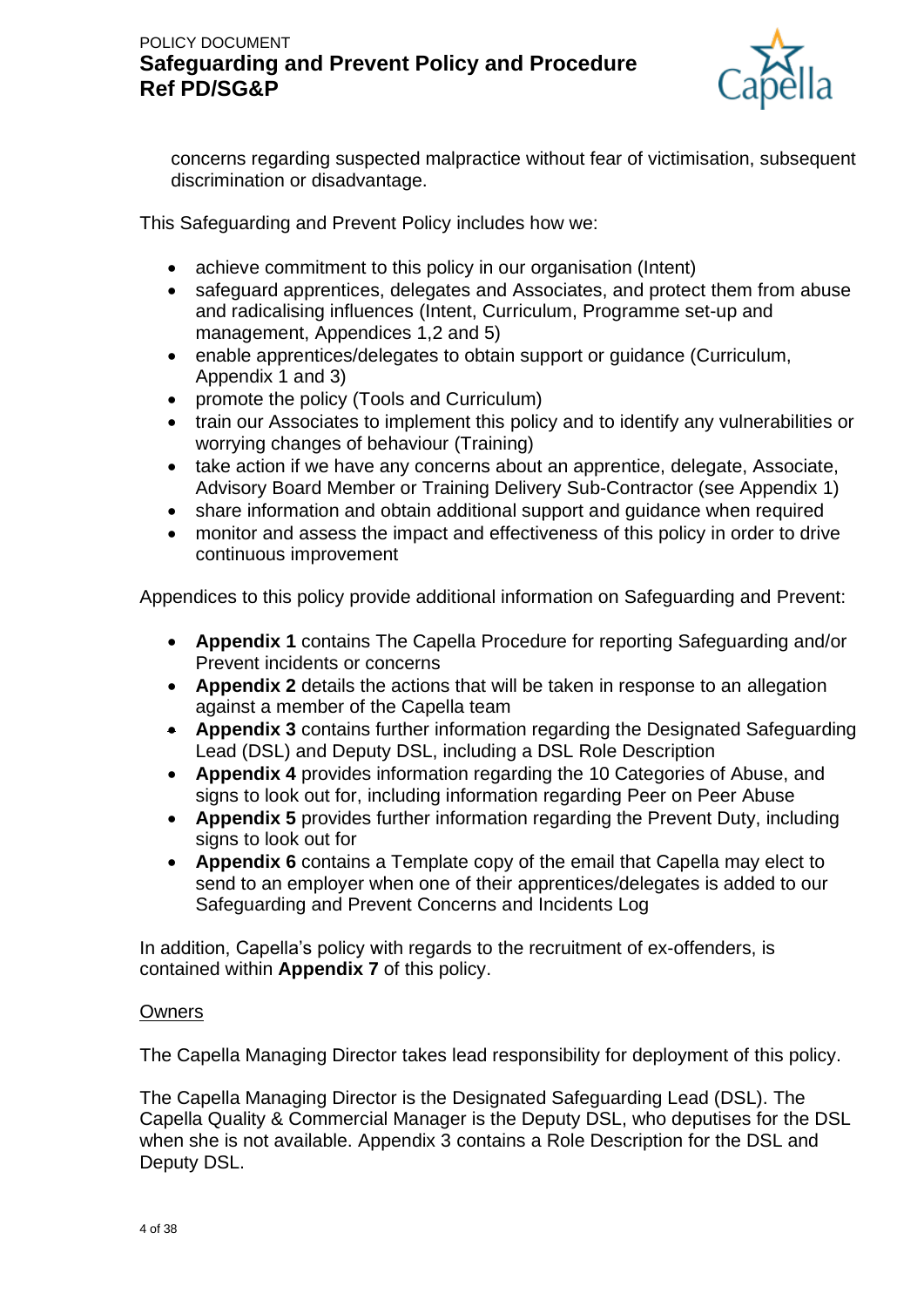

concerns regarding suspected malpractice without fear of victimisation, subsequent discrimination or disadvantage.

This Safeguarding and Prevent Policy includes how we:

- achieve commitment to this policy in our organisation (Intent)
- safeguard apprentices, delegates and Associates, and protect them from abuse and radicalising influences (Intent, Curriculum, Programme set-up and management, Appendices 1,2 and 5)
- enable apprentices/delegates to obtain support or guidance (Curriculum, Appendix 1 and 3)
- promote the policy (Tools and Curriculum)
- train our Associates to implement this policy and to identify any vulnerabilities or worrying changes of behaviour (Training)
- take action if we have any concerns about an apprentice, delegate, Associate, Advisory Board Member or Training Delivery Sub-Contractor (see Appendix 1)
- share information and obtain additional support and guidance when required
- monitor and assess the impact and effectiveness of this policy in order to drive continuous improvement

Appendices to this policy provide additional information on Safeguarding and Prevent:

- **Appendix 1** contains The Capella Procedure for reporting Safeguarding and/or Prevent incidents or concerns
- **Appendix 2** details the actions that will be taken in response to an allegation against a member of the Capella team
- **Appendix 3** contains further information regarding the Designated Safeguarding Lead (DSL) and Deputy DSL, including a DSL Role Description
- **Appendix 4** provides information regarding the 10 Categories of Abuse, and signs to look out for, including information regarding Peer on Peer Abuse
- **Appendix 5** provides further information regarding the Prevent Duty, including signs to look out for
- **Appendix 6** contains a Template copy of the email that Capella may elect to send to an employer when one of their apprentices/delegates is added to our Safeguarding and Prevent Concerns and Incidents Log

In addition, Capella's policy with regards to the recruitment of ex-offenders, is contained within **Appendix 7** of this policy.

### **Owners**

The Capella Managing Director takes lead responsibility for deployment of this policy.

The Capella Managing Director is the Designated Safeguarding Lead (DSL). The Capella Quality & Commercial Manager is the Deputy DSL, who deputises for the DSL when she is not available. Appendix 3 contains a Role Description for the DSL and Deputy DSL.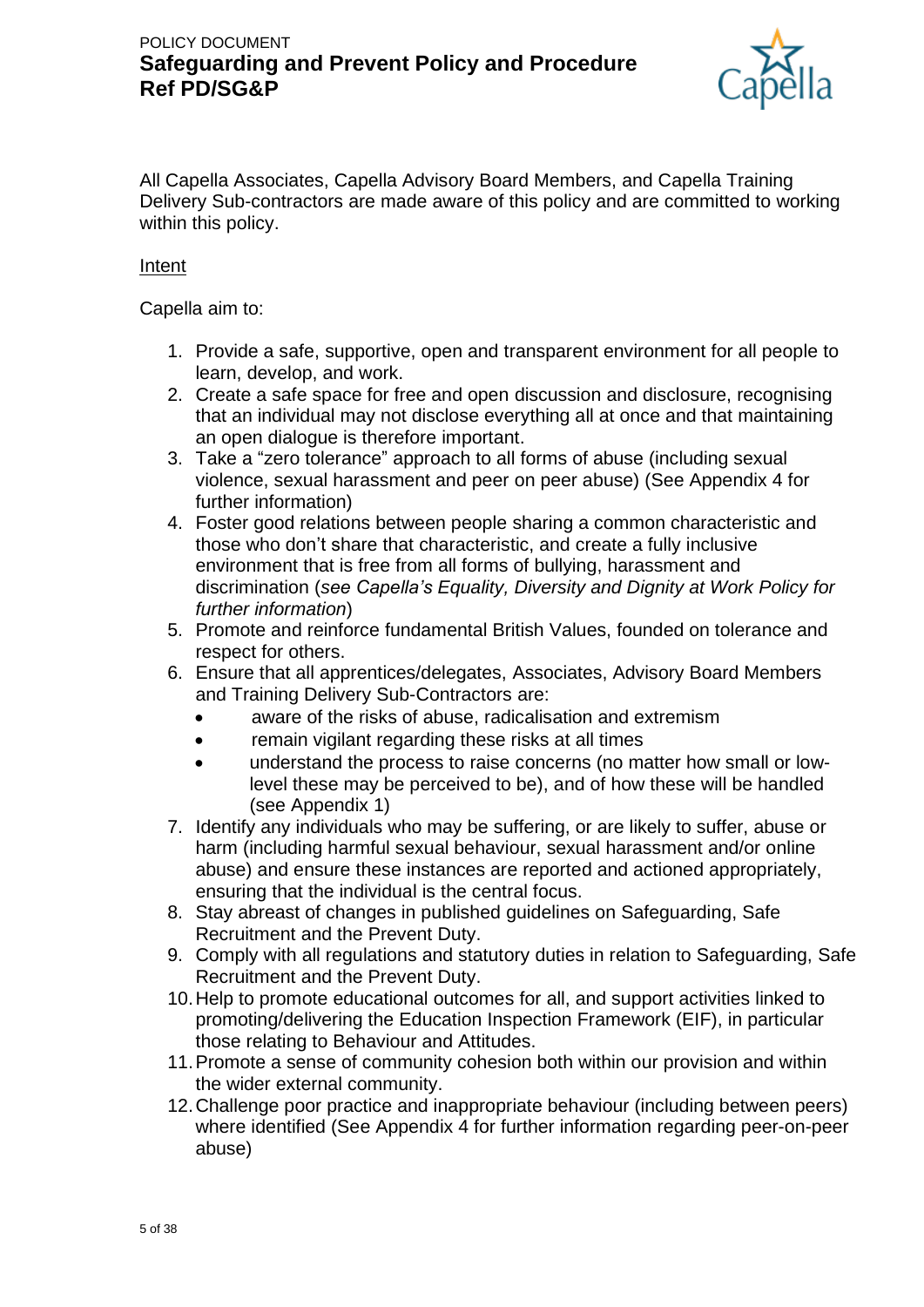

All Capella Associates, Capella Advisory Board Members, and Capella Training Delivery Sub-contractors are made aware of this policy and are committed to working within this policy.

### Intent

Capella aim to:

- 1. Provide a safe, supportive, open and transparent environment for all people to learn, develop, and work.
- 2. Create a safe space for free and open discussion and disclosure, recognising that an individual may not disclose everything all at once and that maintaining an open dialogue is therefore important.
- 3. Take a "zero tolerance" approach to all forms of abuse (including sexual violence, sexual harassment and peer on peer abuse) (See Appendix 4 for further information)
- 4. Foster good relations between people sharing a common characteristic and those who don't share that characteristic, and create a fully inclusive environment that is free from all forms of bullying, harassment and discrimination (*see Capella's Equality, Diversity and Dignity at Work Policy for further information*)
- 5. Promote and reinforce fundamental British Values, founded on tolerance and respect for others.
- 6. Ensure that all apprentices/delegates, Associates, Advisory Board Members and Training Delivery Sub-Contractors are:
	- aware of the risks of abuse, radicalisation and extremism
	- remain vigilant regarding these risks at all times
	- understand the process to raise concerns (no matter how small or lowlevel these may be perceived to be), and of how these will be handled (see Appendix 1)
- 7. Identify any individuals who may be suffering, or are likely to suffer, abuse or harm (including harmful sexual behaviour, sexual harassment and/or online abuse) and ensure these instances are reported and actioned appropriately, ensuring that the individual is the central focus.
- 8. Stay abreast of changes in published guidelines on Safeguarding, Safe Recruitment and the Prevent Duty.
- 9. Comply with all regulations and statutory duties in relation to Safeguarding, Safe Recruitment and the Prevent Duty.
- 10.Help to promote educational outcomes for all, and support activities linked to promoting/delivering the Education Inspection Framework (EIF), in particular those relating to Behaviour and Attitudes.
- 11.Promote a sense of community cohesion both within our provision and within the wider external community.
- 12.Challenge poor practice and inappropriate behaviour (including between peers) where identified (See Appendix 4 for further information regarding peer-on-peer abuse)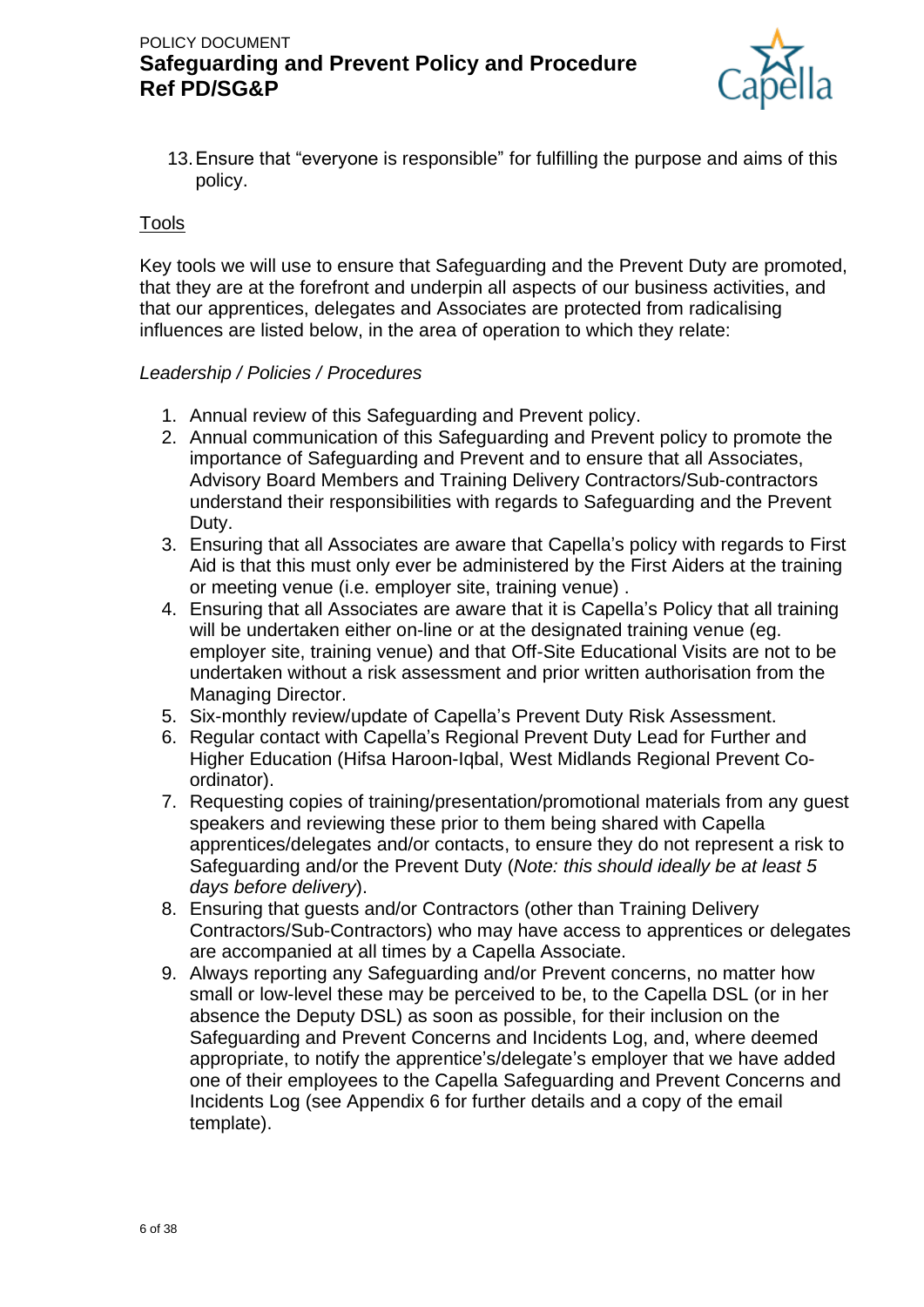

13.Ensure that "everyone is responsible" for fulfilling the purpose and aims of this policy.

#### Tools

Key tools we will use to ensure that Safeguarding and the Prevent Duty are promoted, that they are at the forefront and underpin all aspects of our business activities, and that our apprentices, delegates and Associates are protected from radicalising influences are listed below, in the area of operation to which they relate:

#### *Leadership / Policies / Procedures*

- 1. Annual review of this Safeguarding and Prevent policy.
- 2. Annual communication of this Safeguarding and Prevent policy to promote the importance of Safeguarding and Prevent and to ensure that all Associates, Advisory Board Members and Training Delivery Contractors/Sub-contractors understand their responsibilities with regards to Safeguarding and the Prevent Duty.
- 3. Ensuring that all Associates are aware that Capella's policy with regards to First Aid is that this must only ever be administered by the First Aiders at the training or meeting venue (i.e. employer site, training venue) .
- 4. Ensuring that all Associates are aware that it is Capella's Policy that all training will be undertaken either on-line or at the designated training venue (eg. employer site, training venue) and that Off-Site Educational Visits are not to be undertaken without a risk assessment and prior written authorisation from the Managing Director.
- 5. Six-monthly review/update of Capella's Prevent Duty Risk Assessment.
- 6. Regular contact with Capella's Regional Prevent Duty Lead for Further and Higher Education (Hifsa Haroon-Iqbal, West Midlands Regional Prevent Coordinator).
- 7. Requesting copies of training/presentation/promotional materials from any guest speakers and reviewing these prior to them being shared with Capella apprentices/delegates and/or contacts, to ensure they do not represent a risk to Safeguarding and/or the Prevent Duty (*Note: this should ideally be at least 5 days before delivery*).
- 8. Ensuring that guests and/or Contractors (other than Training Delivery Contractors/Sub-Contractors) who may have access to apprentices or delegates are accompanied at all times by a Capella Associate.
- 9. Always reporting any Safeguarding and/or Prevent concerns, no matter how small or low-level these may be perceived to be, to the Capella DSL (or in her absence the Deputy DSL) as soon as possible, for their inclusion on the Safeguarding and Prevent Concerns and Incidents Log, and, where deemed appropriate, to notify the apprentice's/delegate's employer that we have added one of their employees to the Capella Safeguarding and Prevent Concerns and Incidents Log (see Appendix 6 for further details and a copy of the email template).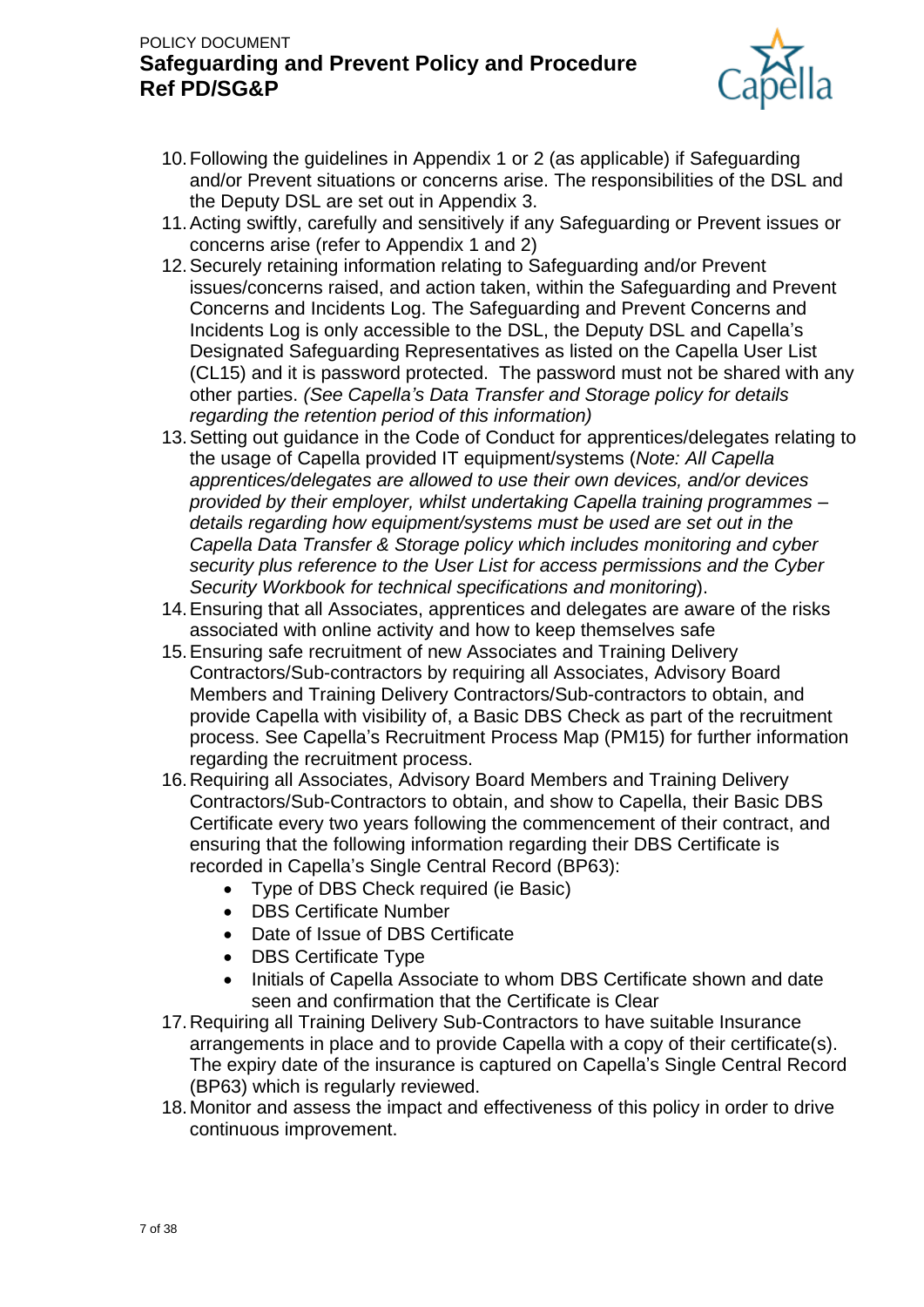

- 10.Following the guidelines in Appendix 1 or 2 (as applicable) if Safeguarding and/or Prevent situations or concerns arise. The responsibilities of the DSL and the Deputy DSL are set out in Appendix 3.
- 11.Acting swiftly, carefully and sensitively if any Safeguarding or Prevent issues or concerns arise (refer to Appendix 1 and 2)
- 12.Securely retaining information relating to Safeguarding and/or Prevent issues/concerns raised, and action taken, within the Safeguarding and Prevent Concerns and Incidents Log. The Safeguarding and Prevent Concerns and Incidents Log is only accessible to the DSL, the Deputy DSL and Capella's Designated Safeguarding Representatives as listed on the Capella User List (CL15) and it is password protected. The password must not be shared with any other parties. *(See Capella's Data Transfer and Storage policy for details regarding the retention period of this information)*
- 13.Setting out guidance in the Code of Conduct for apprentices/delegates relating to the usage of Capella provided IT equipment/systems (*Note: All Capella apprentices/delegates are allowed to use their own devices, and/or devices provided by their employer, whilst undertaking Capella training programmes – details regarding how equipment/systems must be used are set out in the Capella Data Transfer & Storage policy which includes monitoring and cyber security plus reference to the User List for access permissions and the Cyber Security Workbook for technical specifications and monitoring*).
- 14.Ensuring that all Associates, apprentices and delegates are aware of the risks associated with online activity and how to keep themselves safe
- 15.Ensuring safe recruitment of new Associates and Training Delivery Contractors/Sub-contractors by requiring all Associates, Advisory Board Members and Training Delivery Contractors/Sub-contractors to obtain, and provide Capella with visibility of, a Basic DBS Check as part of the recruitment process. See Capella's Recruitment Process Map (PM15) for further information regarding the recruitment process.
- 16.Requiring all Associates, Advisory Board Members and Training Delivery Contractors/Sub-Contractors to obtain, and show to Capella, their Basic DBS Certificate every two years following the commencement of their contract, and ensuring that the following information regarding their DBS Certificate is recorded in Capella's Single Central Record (BP63):
	- Type of DBS Check required (ie Basic)
	- DBS Certificate Number
	- Date of Issue of DBS Certificate
	- DBS Certificate Type
	- Initials of Capella Associate to whom DBS Certificate shown and date seen and confirmation that the Certificate is Clear
- 17.Requiring all Training Delivery Sub-Contractors to have suitable Insurance arrangements in place and to provide Capella with a copy of their certificate(s). The expiry date of the insurance is captured on Capella's Single Central Record (BP63) which is regularly reviewed.
- 18.Monitor and assess the impact and effectiveness of this policy in order to drive continuous improvement.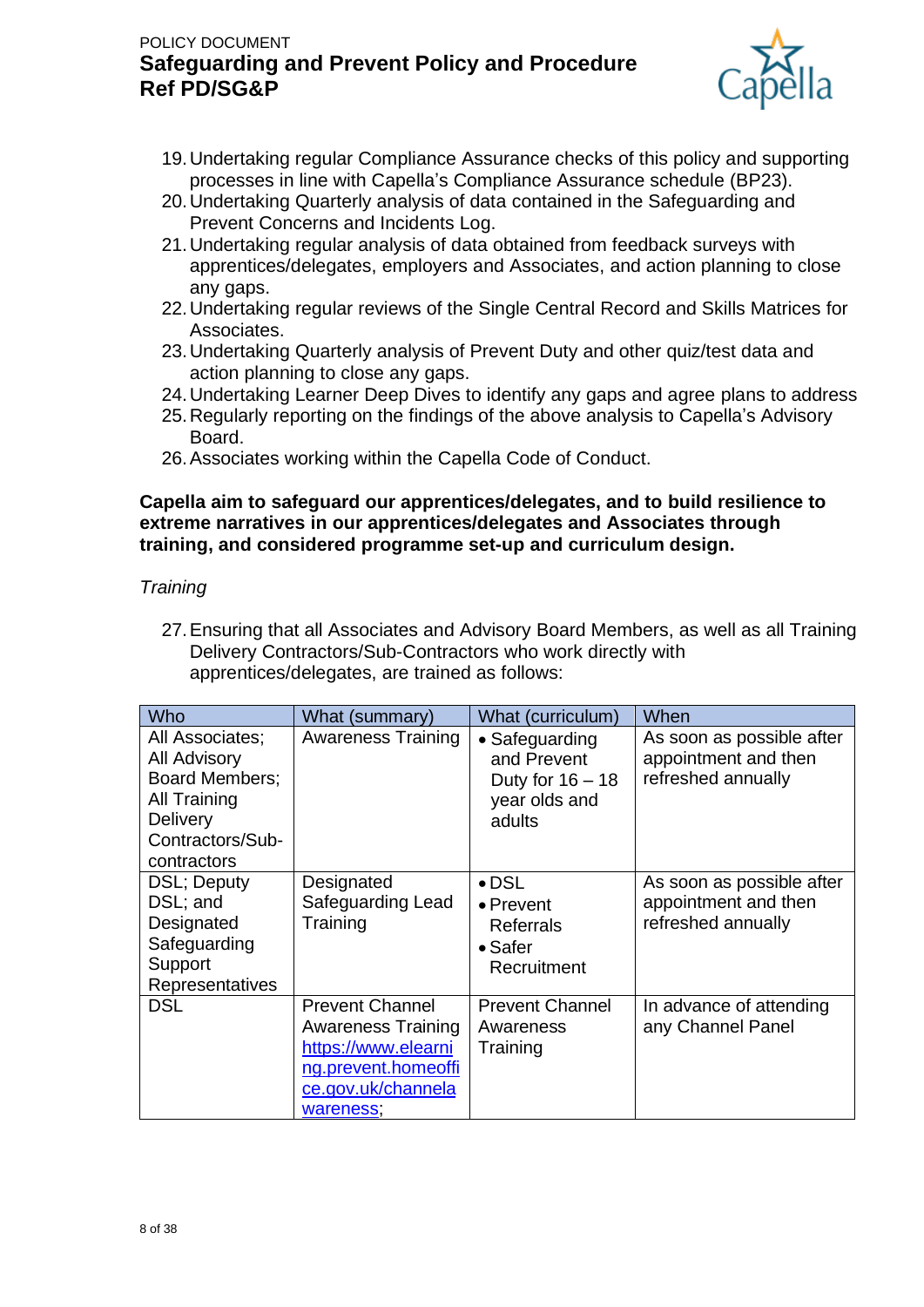

- 19.Undertaking regular Compliance Assurance checks of this policy and supporting processes in line with Capella's Compliance Assurance schedule (BP23).
- 20.Undertaking Quarterly analysis of data contained in the Safeguarding and Prevent Concerns and Incidents Log.
- 21.Undertaking regular analysis of data obtained from feedback surveys with apprentices/delegates, employers and Associates, and action planning to close any gaps.
- 22.Undertaking regular reviews of the Single Central Record and Skills Matrices for Associates.
- 23.Undertaking Quarterly analysis of Prevent Duty and other quiz/test data and action planning to close any gaps.
- 24.Undertaking Learner Deep Dives to identify any gaps and agree plans to address
- 25.Regularly reporting on the findings of the above analysis to Capella's Advisory Board.
- 26.Associates working within the Capella Code of Conduct.

#### **Capella aim to safeguard our apprentices/delegates, and to build resilience to extreme narratives in our apprentices/delegates and Associates through training, and considered programme set-up and curriculum design.**

### *Training*

27.Ensuring that all Associates and Advisory Board Members, as well as all Training Delivery Contractors/Sub-Contractors who work directly with apprentices/delegates, are trained as follows:

| Who                                                                                                                                          | What (summary)                                                                                                                       | What (curriculum)                                                                        | When                                                                    |
|----------------------------------------------------------------------------------------------------------------------------------------------|--------------------------------------------------------------------------------------------------------------------------------------|------------------------------------------------------------------------------------------|-------------------------------------------------------------------------|
| All Associates;<br><b>All Advisory</b><br><b>Board Members:</b><br><b>All Training</b><br><b>Delivery</b><br>Contractors/Sub-<br>contractors | <b>Awareness Training</b>                                                                                                            | • Safeguarding<br>and Prevent<br>Duty for $16 - 18$<br>year olds and<br>adults           | As soon as possible after<br>appointment and then<br>refreshed annually |
| DSL; Deputy<br>DSL; and<br>Designated<br>Safeguarding<br>Support<br><b>Representatives</b>                                                   | Designated<br>Safeguarding Lead<br>Training                                                                                          | $\bullet$ DSL<br>$\bullet$ Prevent<br><b>Referrals</b><br>$\bullet$ Safer<br>Recruitment | As soon as possible after<br>appointment and then<br>refreshed annually |
| <b>DSL</b>                                                                                                                                   | <b>Prevent Channel</b><br><b>Awareness Training</b><br>https://www.elearni<br>ng.prevent.homeoffi<br>ce.gov.uk/channela<br>wareness, | <b>Prevent Channel</b><br>Awareness<br>Training                                          | In advance of attending<br>any Channel Panel                            |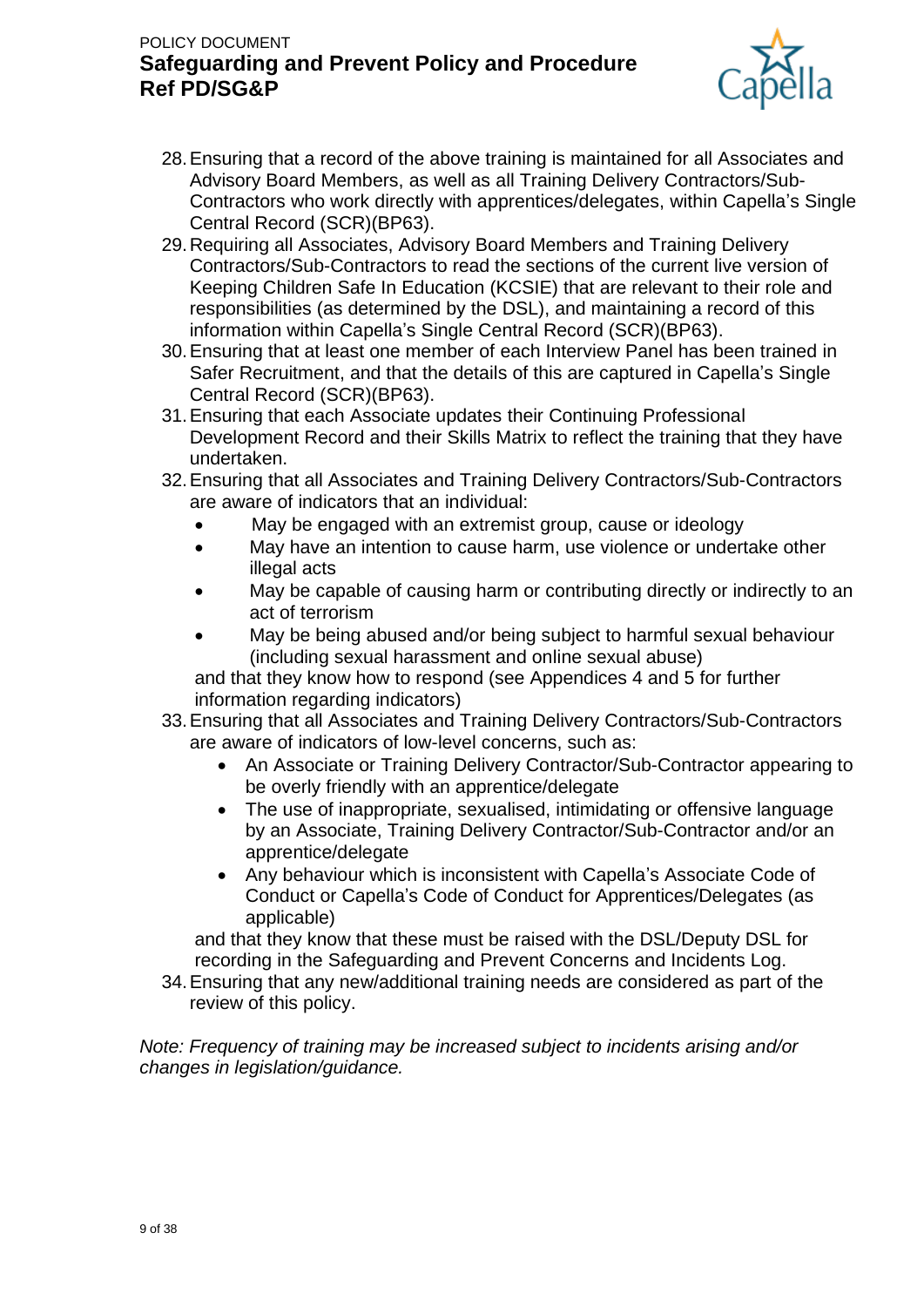

- 28.Ensuring that a record of the above training is maintained for all Associates and Advisory Board Members, as well as all Training Delivery Contractors/Sub-Contractors who work directly with apprentices/delegates, within Capella's Single Central Record (SCR)(BP63).
- 29.Requiring all Associates, Advisory Board Members and Training Delivery Contractors/Sub-Contractors to read the sections of the current live version of Keeping Children Safe In Education (KCSIE) that are relevant to their role and responsibilities (as determined by the DSL), and maintaining a record of this information within Capella's Single Central Record (SCR)(BP63).
- 30.Ensuring that at least one member of each Interview Panel has been trained in Safer Recruitment, and that the details of this are captured in Capella's Single Central Record (SCR)(BP63).
- 31.Ensuring that each Associate updates their Continuing Professional Development Record and their Skills Matrix to reflect the training that they have undertaken.
- 32.Ensuring that all Associates and Training Delivery Contractors/Sub-Contractors are aware of indicators that an individual:
	- May be engaged with an extremist group, cause or ideology
	- May have an intention to cause harm, use violence or undertake other illegal acts
	- May be capable of causing harm or contributing directly or indirectly to an act of terrorism
	- May be being abused and/or being subject to harmful sexual behaviour (including sexual harassment and online sexual abuse)

and that they know how to respond (see Appendices 4 and 5 for further information regarding indicators)

- 33.Ensuring that all Associates and Training Delivery Contractors/Sub-Contractors are aware of indicators of low-level concerns, such as:
	- An Associate or Training Delivery Contractor/Sub-Contractor appearing to be overly friendly with an apprentice/delegate
	- The use of inappropriate, sexualised, intimidating or offensive language by an Associate, Training Delivery Contractor/Sub-Contractor and/or an apprentice/delegate
	- Any behaviour which is inconsistent with Capella's Associate Code of Conduct or Capella's Code of Conduct for Apprentices/Delegates (as applicable)

and that they know that these must be raised with the DSL/Deputy DSL for recording in the Safeguarding and Prevent Concerns and Incidents Log.

34.Ensuring that any new/additional training needs are considered as part of the review of this policy.

*Note: Frequency of training may be increased subject to incidents arising and/or changes in legislation/guidance.*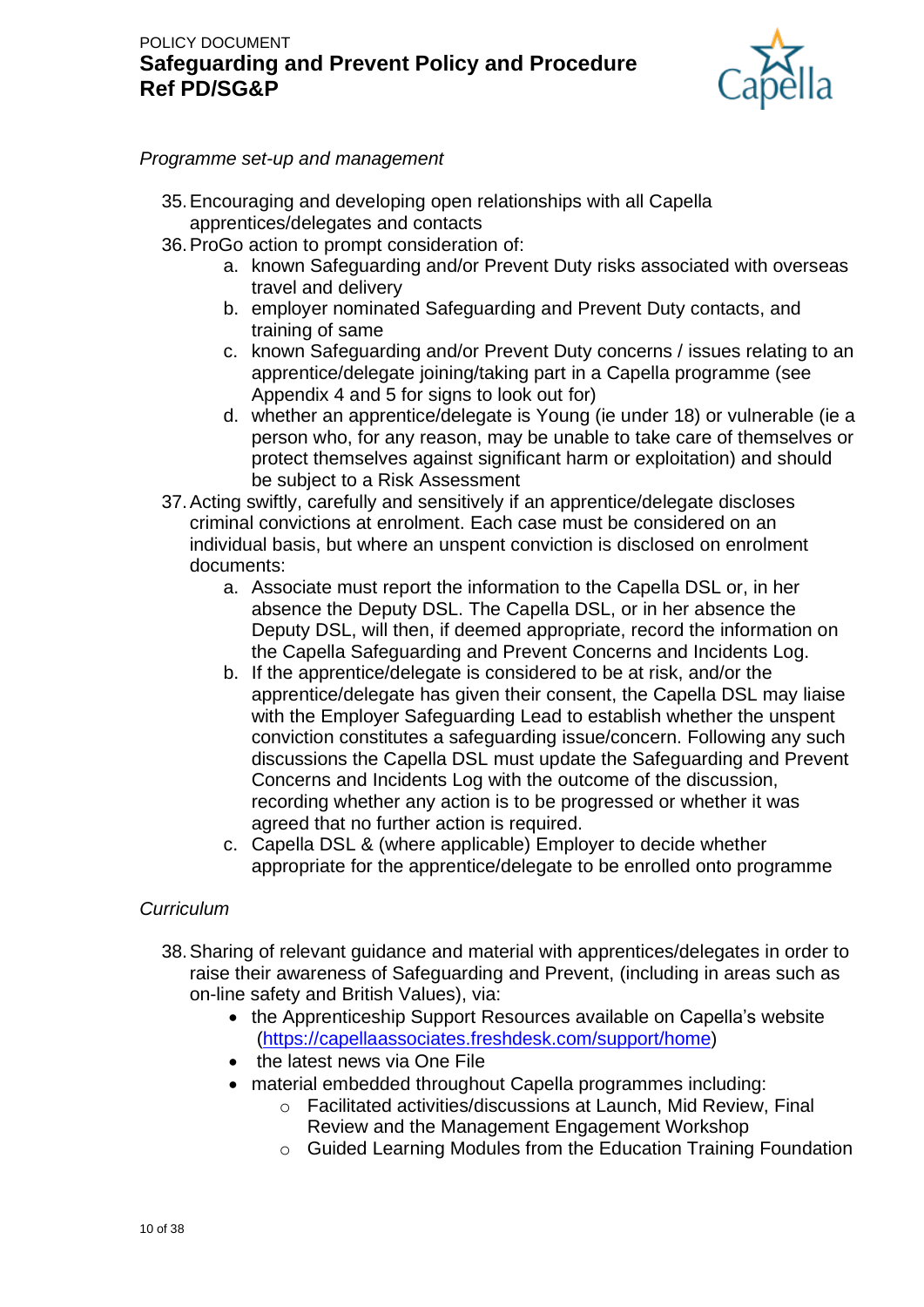

### *Programme set-up and management*

- 35.Encouraging and developing open relationships with all Capella apprentices/delegates and contacts
- 36.ProGo action to prompt consideration of:
	- a. known Safeguarding and/or Prevent Duty risks associated with overseas travel and delivery
	- b. employer nominated Safeguarding and Prevent Duty contacts, and training of same
	- c. known Safeguarding and/or Prevent Duty concerns / issues relating to an apprentice/delegate joining/taking part in a Capella programme (see Appendix 4 and 5 for signs to look out for)
	- d. whether an apprentice/delegate is Young (ie under 18) or vulnerable (ie a person who, for any reason, may be unable to take care of themselves or protect themselves against significant harm or exploitation) and should be subject to a Risk Assessment
- 37.Acting swiftly, carefully and sensitively if an apprentice/delegate discloses criminal convictions at enrolment. Each case must be considered on an individual basis, but where an unspent conviction is disclosed on enrolment documents:
	- a. Associate must report the information to the Capella DSL or, in her absence the Deputy DSL. The Capella DSL, or in her absence the Deputy DSL, will then, if deemed appropriate, record the information on the Capella Safeguarding and Prevent Concerns and Incidents Log.
	- b. If the apprentice/delegate is considered to be at risk, and/or the apprentice/delegate has given their consent, the Capella DSL may liaise with the Employer Safeguarding Lead to establish whether the unspent conviction constitutes a safeguarding issue/concern. Following any such discussions the Capella DSL must update the Safeguarding and Prevent Concerns and Incidents Log with the outcome of the discussion, recording whether any action is to be progressed or whether it was agreed that no further action is required.
	- c. Capella DSL & (where applicable) Employer to decide whether appropriate for the apprentice/delegate to be enrolled onto programme

## *Curriculum*

- 38.Sharing of relevant guidance and material with apprentices/delegates in order to raise their awareness of Safeguarding and Prevent, (including in areas such as on-line safety and British Values), via:
	- the Apprenticeship Support Resources available on Capella's website [\(https://capellaassociates.freshdesk.com/support/home\)](https://capellaassociates.freshdesk.com/support/home)
	- the latest news via One File
	- material embedded throughout Capella programmes including:
		- o Facilitated activities/discussions at Launch, Mid Review, Final Review and the Management Engagement Workshop
		- o Guided Learning Modules from the Education Training Foundation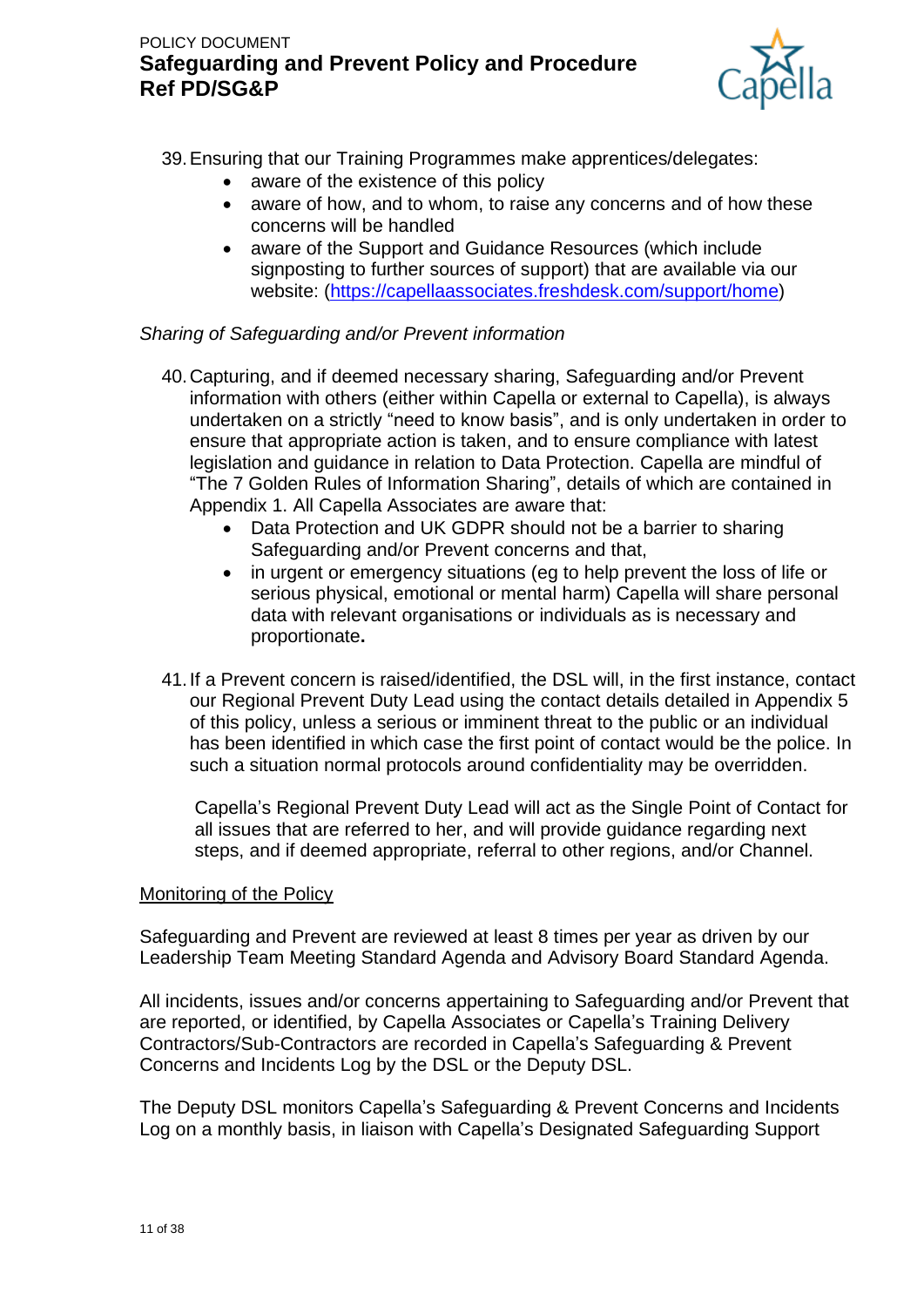

39.Ensuring that our Training Programmes make apprentices/delegates:

- aware of the existence of this policy
- aware of how, and to whom, to raise any concerns and of how these concerns will be handled
- aware of the Support and Guidance Resources (which include signposting to further sources of support) that are available via our website: [\(https://capellaassociates.freshdesk.com/support/home\)](https://capellaassociates.freshdesk.com/support/home)

### *Sharing of Safeguarding and/or Prevent information*

- 40.Capturing, and if deemed necessary sharing, Safeguarding and/or Prevent information with others (either within Capella or external to Capella), is always undertaken on a strictly "need to know basis", and is only undertaken in order to ensure that appropriate action is taken, and to ensure compliance with latest legislation and guidance in relation to Data Protection. Capella are mindful of "The 7 Golden Rules of Information Sharing", details of which are contained in Appendix 1. All Capella Associates are aware that:
	- Data Protection and UK GDPR should not be a barrier to sharing Safeguarding and/or Prevent concerns and that,
	- in urgent or emergency situations (eg to help prevent the loss of life or serious physical, emotional or mental harm) Capella will share personal data with relevant organisations or individuals as is necessary and proportionate**.**
- 41.If a Prevent concern is raised/identified, the DSL will, in the first instance, contact our Regional Prevent Duty Lead using the contact details detailed in Appendix 5 of this policy, unless a serious or imminent threat to the public or an individual has been identified in which case the first point of contact would be the police. In such a situation normal protocols around confidentiality may be overridden.

Capella's Regional Prevent Duty Lead will act as the Single Point of Contact for all issues that are referred to her, and will provide guidance regarding next steps, and if deemed appropriate, referral to other regions, and/or Channel.

### Monitoring of the Policy

Safeguarding and Prevent are reviewed at least 8 times per year as driven by our Leadership Team Meeting Standard Agenda and Advisory Board Standard Agenda.

All incidents, issues and/or concerns appertaining to Safeguarding and/or Prevent that are reported, or identified, by Capella Associates or Capella's Training Delivery Contractors/Sub-Contractors are recorded in Capella's Safeguarding & Prevent Concerns and Incidents Log by the DSL or the Deputy DSL.

The Deputy DSL monitors Capella's Safeguarding & Prevent Concerns and Incidents Log on a monthly basis, in liaison with Capella's Designated Safeguarding Support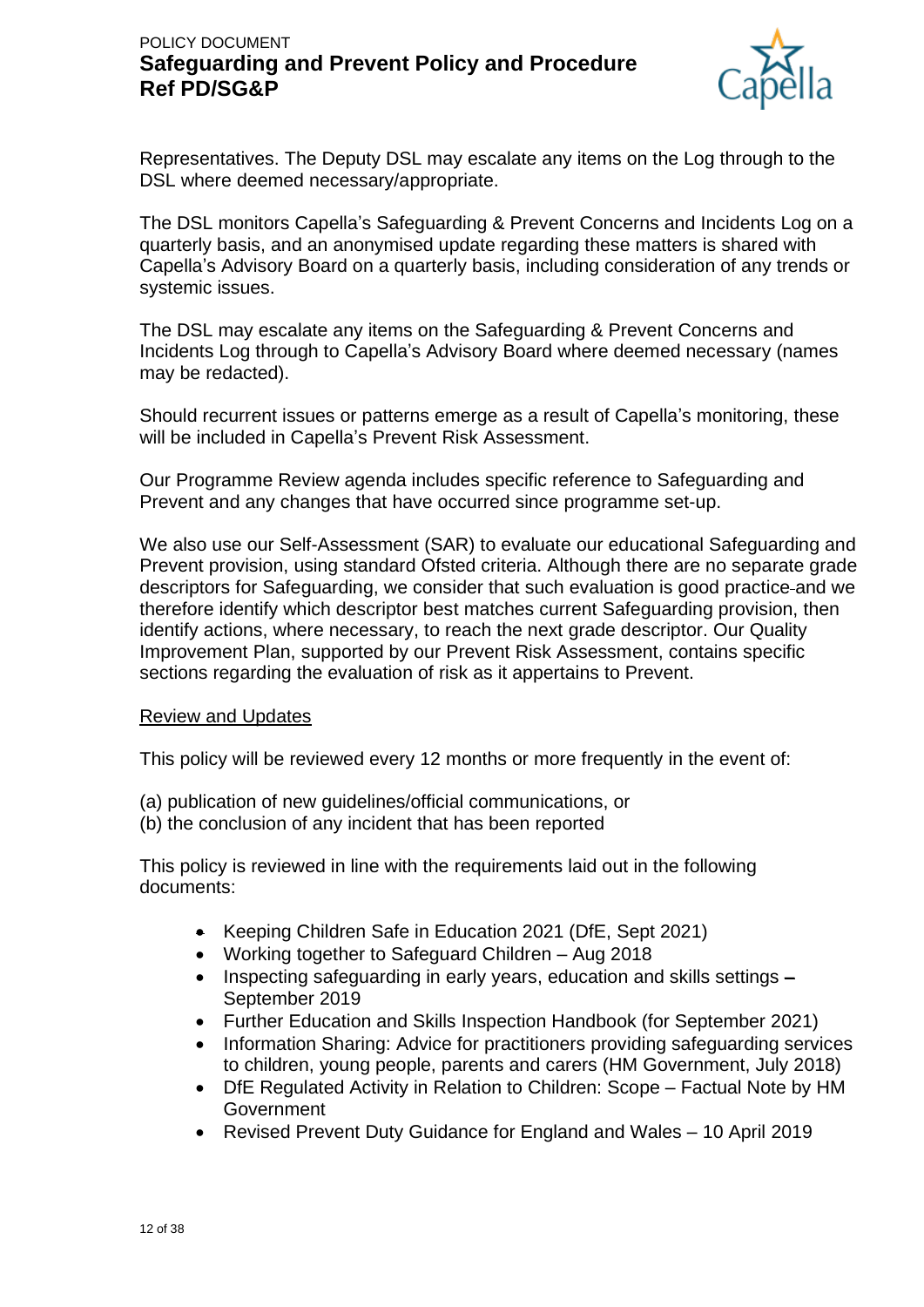

Representatives. The Deputy DSL may escalate any items on the Log through to the DSL where deemed necessary/appropriate.

The DSL monitors Capella's Safeguarding & Prevent Concerns and Incidents Log on a quarterly basis, and an anonymised update regarding these matters is shared with Capella's Advisory Board on a quarterly basis, including consideration of any trends or systemic issues.

The DSL may escalate any items on the Safeguarding & Prevent Concerns and Incidents Log through to Capella's Advisory Board where deemed necessary (names may be redacted).

Should recurrent issues or patterns emerge as a result of Capella's monitoring, these will be included in Capella's Prevent Risk Assessment.

Our Programme Review agenda includes specific reference to Safeguarding and Prevent and any changes that have occurred since programme set-up.

We also use our Self-Assessment (SAR) to evaluate our educational Safeguarding and Prevent provision, using standard Ofsted criteria. Although there are no separate grade descriptors for Safeguarding, we consider that such evaluation is good practice and we therefore identify which descriptor best matches current Safeguarding provision, then identify actions, where necessary, to reach the next grade descriptor. Our Quality Improvement Plan, supported by our Prevent Risk Assessment, contains specific sections regarding the evaluation of risk as it appertains to Prevent.

#### Review and Updates

This policy will be reviewed every 12 months or more frequently in the event of:

- (a) publication of new guidelines/official communications, or
- (b) the conclusion of any incident that has been reported

This policy is reviewed in line with the requirements laid out in the following documents:

- Keeping Children Safe in Education 2021 (DfE, Sept 2021)
- Working together to Safeguard Children Aug 2018
- Inspecting safeguarding in early years, education and skills settings September 2019
- Further Education and Skills Inspection Handbook (for September 2021)
- Information Sharing: Advice for practitioners providing safeguarding services to children, young people, parents and carers (HM Government, July 2018)
- DfE Regulated Activity in Relation to Children: Scope Factual Note by HM **Government**
- Revised Prevent Duty Guidance for England and Wales 10 April 2019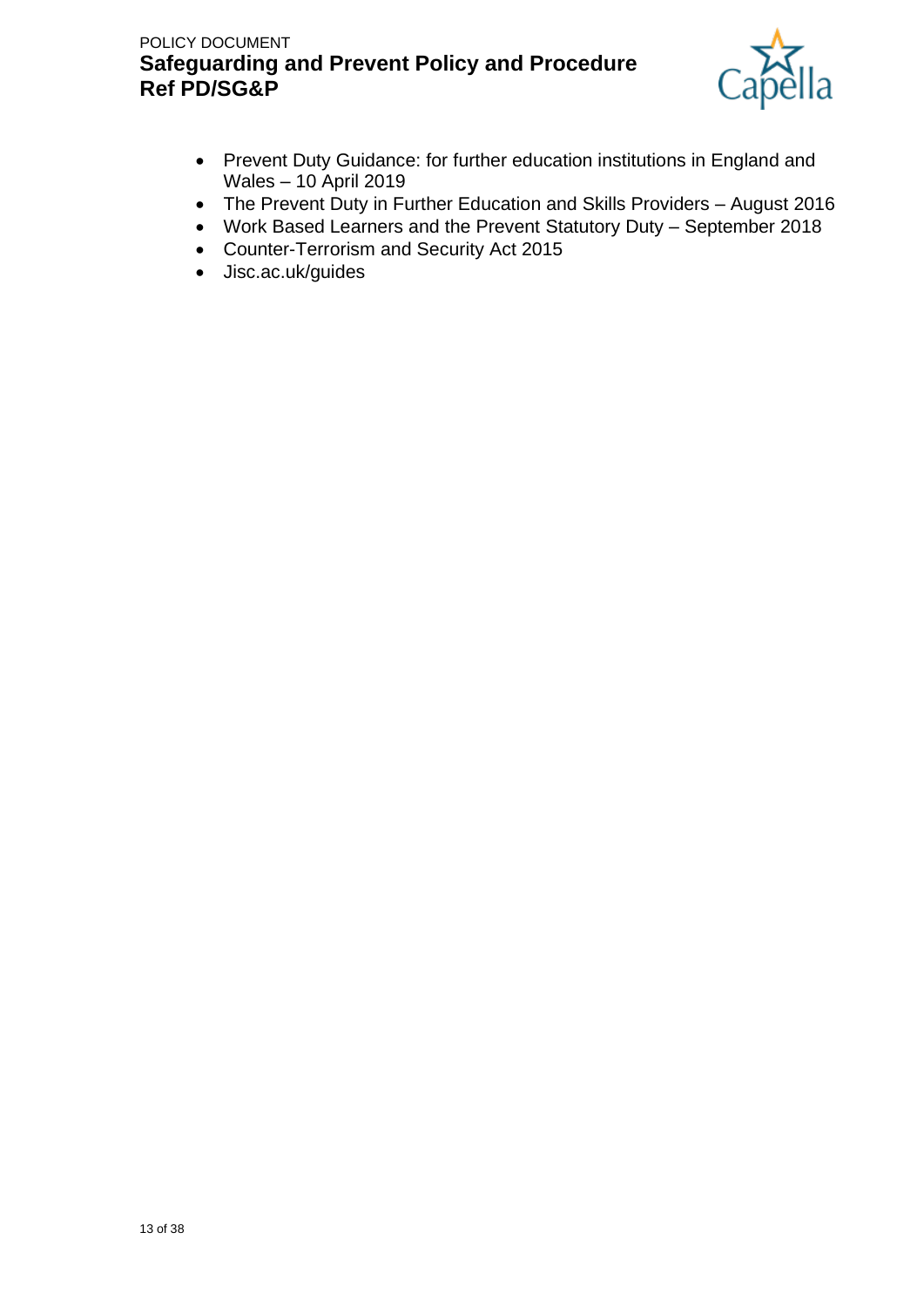

- Prevent Duty Guidance: for further education institutions in England and Wales – 10 April 2019
- The Prevent Duty in Further Education and Skills Providers August 2016
- Work Based Learners and the Prevent Statutory Duty September 2018
- Counter-Terrorism and Security Act 2015
- Jisc.ac.uk/guides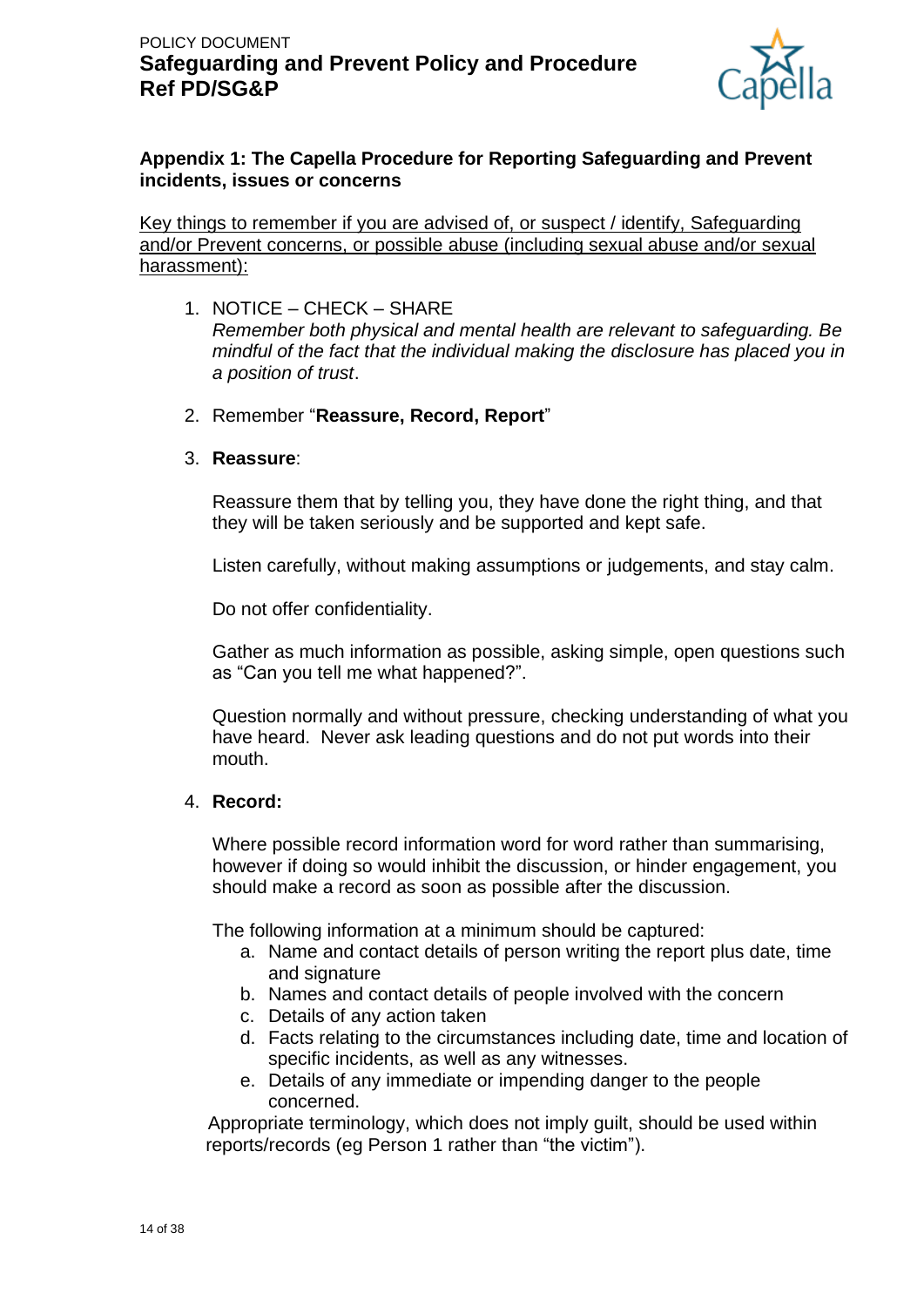

### **Appendix 1: The Capella Procedure for Reporting Safeguarding and Prevent incidents, issues or concerns**

Key things to remember if you are advised of, or suspect / identify, Safeguarding and/or Prevent concerns, or possible abuse (including sexual abuse and/or sexual harassment):

- 1. NOTICE CHECK SHARE *Remember both physical and mental health are relevant to safeguarding. Be mindful of the fact that the individual making the disclosure has placed you in a position of trust*.
- 2. Remember "**Reassure, Record, Report**"

#### 3. **Reassure**:

Reassure them that by telling you, they have done the right thing, and that they will be taken seriously and be supported and kept safe.

Listen carefully, without making assumptions or judgements, and stay calm.

Do not offer confidentiality.

Gather as much information as possible, asking simple, open questions such as "Can you tell me what happened?".

Question normally and without pressure, checking understanding of what you have heard. Never ask leading questions and do not put words into their mouth.

#### 4. **Record:**

Where possible record information word for word rather than summarising, however if doing so would inhibit the discussion, or hinder engagement, you should make a record as soon as possible after the discussion.

The following information at a minimum should be captured:

- a. Name and contact details of person writing the report plus date, time and signature
- b. Names and contact details of people involved with the concern
- c. Details of any action taken
- d. Facts relating to the circumstances including date, time and location of specific incidents, as well as any witnesses.
- e. Details of any immediate or impending danger to the people concerned.

 Appropriate terminology, which does not imply guilt, should be used within reports/records (eg Person 1 rather than "the victim").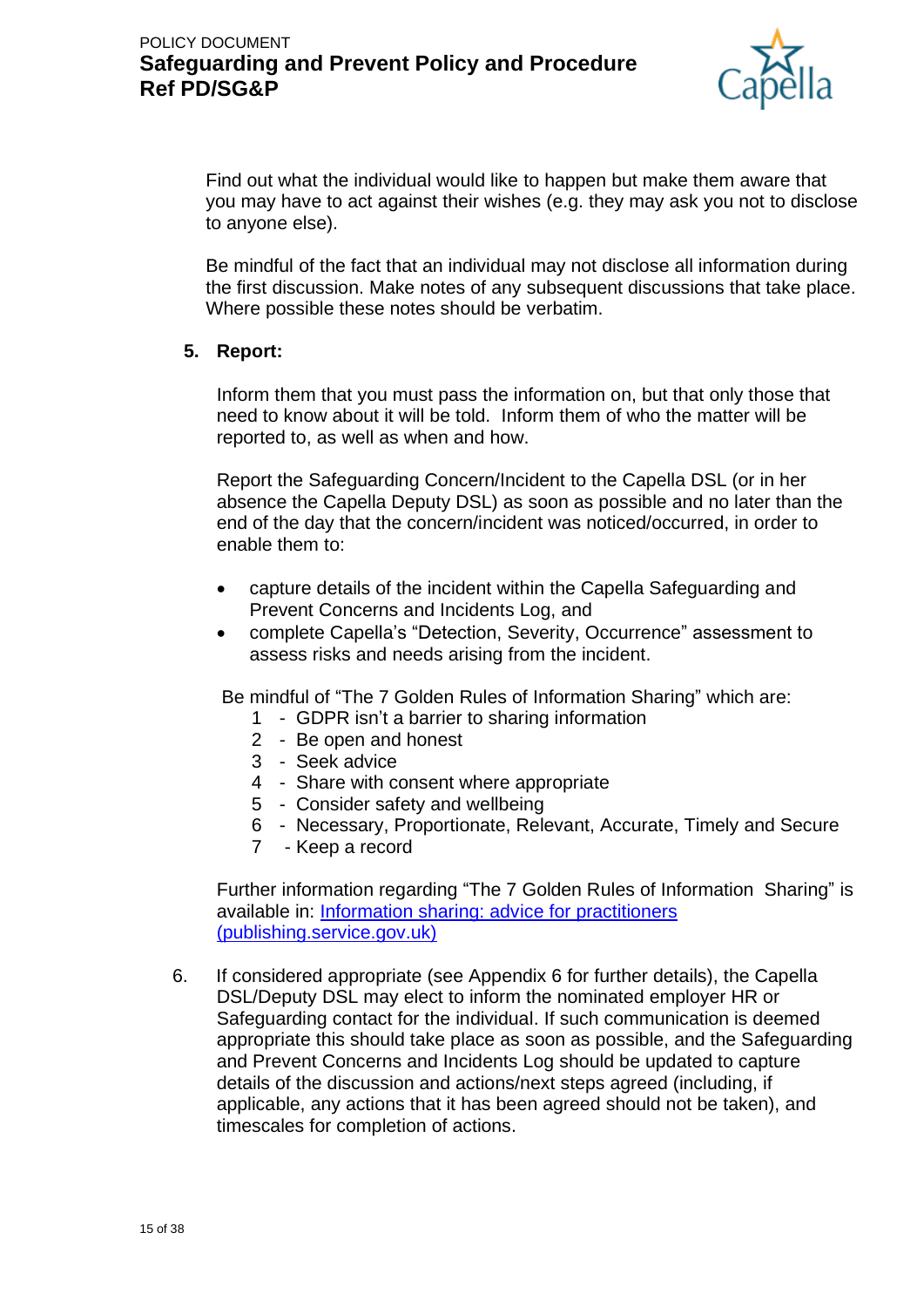

Find out what the individual would like to happen but make them aware that you may have to act against their wishes (e.g. they may ask you not to disclose to anyone else).

Be mindful of the fact that an individual may not disclose all information during the first discussion. Make notes of any subsequent discussions that take place. Where possible these notes should be verbatim.

### **5. Report:**

Inform them that you must pass the information on, but that only those that need to know about it will be told. Inform them of who the matter will be reported to, as well as when and how.

Report the Safeguarding Concern/Incident to the Capella DSL (or in her absence the Capella Deputy DSL) as soon as possible and no later than the end of the day that the concern/incident was noticed/occurred, in order to enable them to:

- capture details of the incident within the Capella Safeguarding and Prevent Concerns and Incidents Log, and
- complete Capella's "Detection, Severity, Occurrence" assessment to assess risks and needs arising from the incident.

Be mindful of "The 7 Golden Rules of Information Sharing" which are:

- 1 GDPR isn't a barrier to sharing information
- 2 Be open and honest
- 3 Seek advice
- 4 Share with consent where appropriate
- 5 Consider safety and wellbeing
- 6 Necessary, Proportionate, Relevant, Accurate, Timely and Secure
- 7 Keep a record

Further information regarding "The 7 Golden Rules of Information Sharing" is available in: [Information sharing: advice for practitioners](https://assets.publishing.service.gov.uk/government/uploads/system/uploads/attachment_data/file/721581/Information_sharing_advice_practitioners_safeguarding_services.pdf)  [\(publishing.service.gov.uk\)](https://assets.publishing.service.gov.uk/government/uploads/system/uploads/attachment_data/file/721581/Information_sharing_advice_practitioners_safeguarding_services.pdf)

6. If considered appropriate (see Appendix 6 for further details), the Capella DSL/Deputy DSL may elect to inform the nominated employer HR or Safeguarding contact for the individual. If such communication is deemed appropriate this should take place as soon as possible, and the Safeguarding and Prevent Concerns and Incidents Log should be updated to capture details of the discussion and actions/next steps agreed (including, if applicable, any actions that it has been agreed should not be taken), and timescales for completion of actions.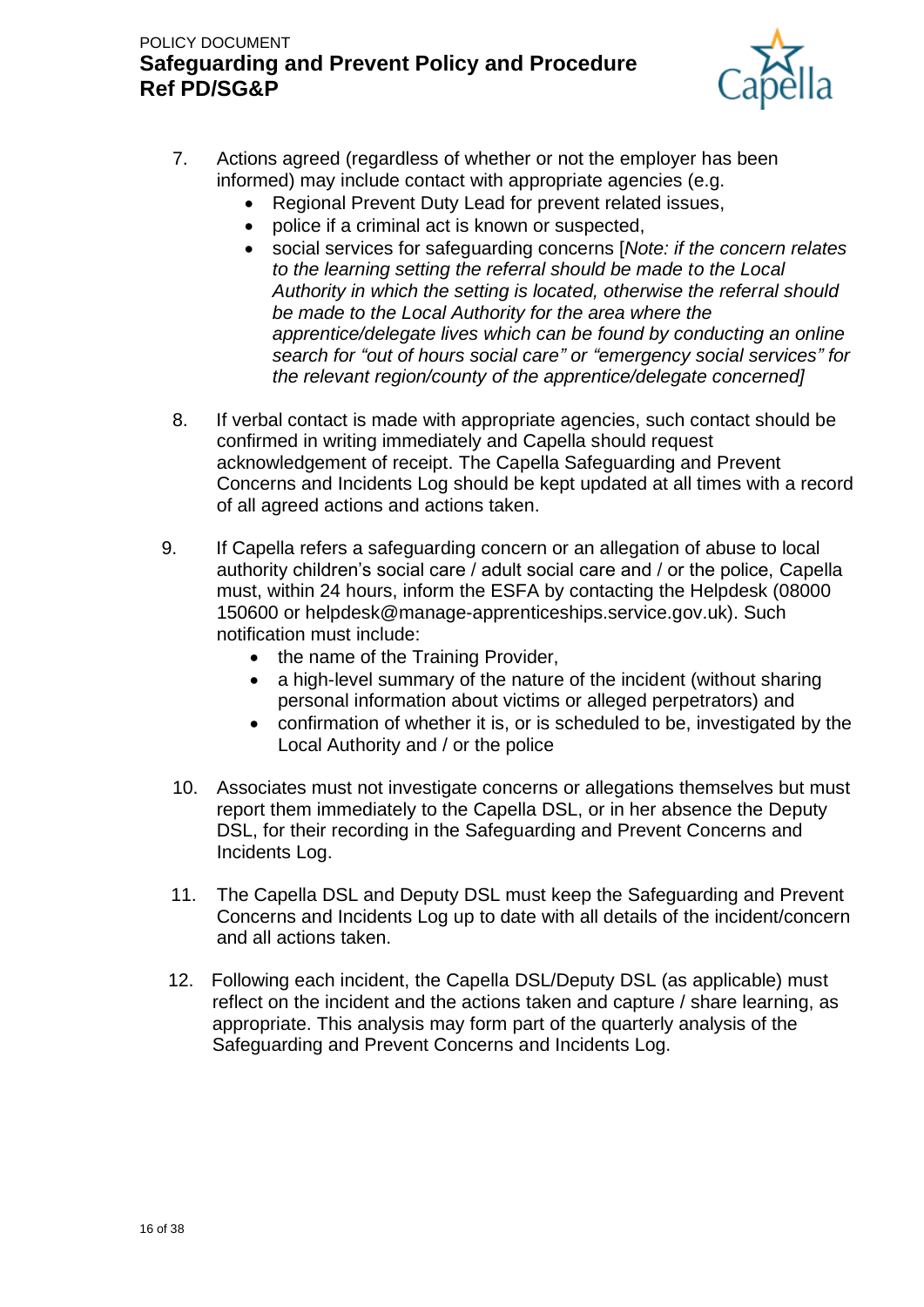

- 7. Actions agreed (regardless of whether or not the employer has been informed) may include contact with appropriate agencies (e.g.
	- Regional Prevent Duty Lead for prevent related issues,
	- police if a criminal act is known or suspected,
	- social services for safeguarding concerns [*Note: if the concern relates to the learning setting the referral should be made to the Local Authority in which the setting is located, otherwise the referral should be made to the Local Authority for the area where the apprentice/delegate lives which can be found by conducting an online search for "out of hours social care" or "emergency social services" for the relevant region/county of the apprentice/delegate concerned]*
- 8. If verbal contact is made with appropriate agencies, such contact should be confirmed in writing immediately and Capella should request acknowledgement of receipt. The Capella Safeguarding and Prevent Concerns and Incidents Log should be kept updated at all times with a record of all agreed actions and actions taken.
- 9. If Capella refers a safeguarding concern or an allegation of abuse to local authority children's social care / adult social care and / or the police, Capella must, within 24 hours, inform the ESFA by contacting the Helpdesk (08000 150600 or helpdesk@manage-apprenticeships.service.gov.uk). Such notification must include:
	- the name of the Training Provider,
	- a high-level summary of the nature of the incident (without sharing personal information about victims or alleged perpetrators) and
	- confirmation of whether it is, or is scheduled to be, investigated by the Local Authority and / or the police
	- 10. Associates must not investigate concerns or allegations themselves but must report them immediately to the Capella DSL, or in her absence the Deputy DSL, for their recording in the Safeguarding and Prevent Concerns and Incidents Log.
	- 11. The Capella DSL and Deputy DSL must keep the Safeguarding and Prevent Concerns and Incidents Log up to date with all details of the incident/concern and all actions taken.
	- 12. Following each incident, the Capella DSL/Deputy DSL (as applicable) must reflect on the incident and the actions taken and capture / share learning, as appropriate. This analysis may form part of the quarterly analysis of the Safeguarding and Prevent Concerns and Incidents Log.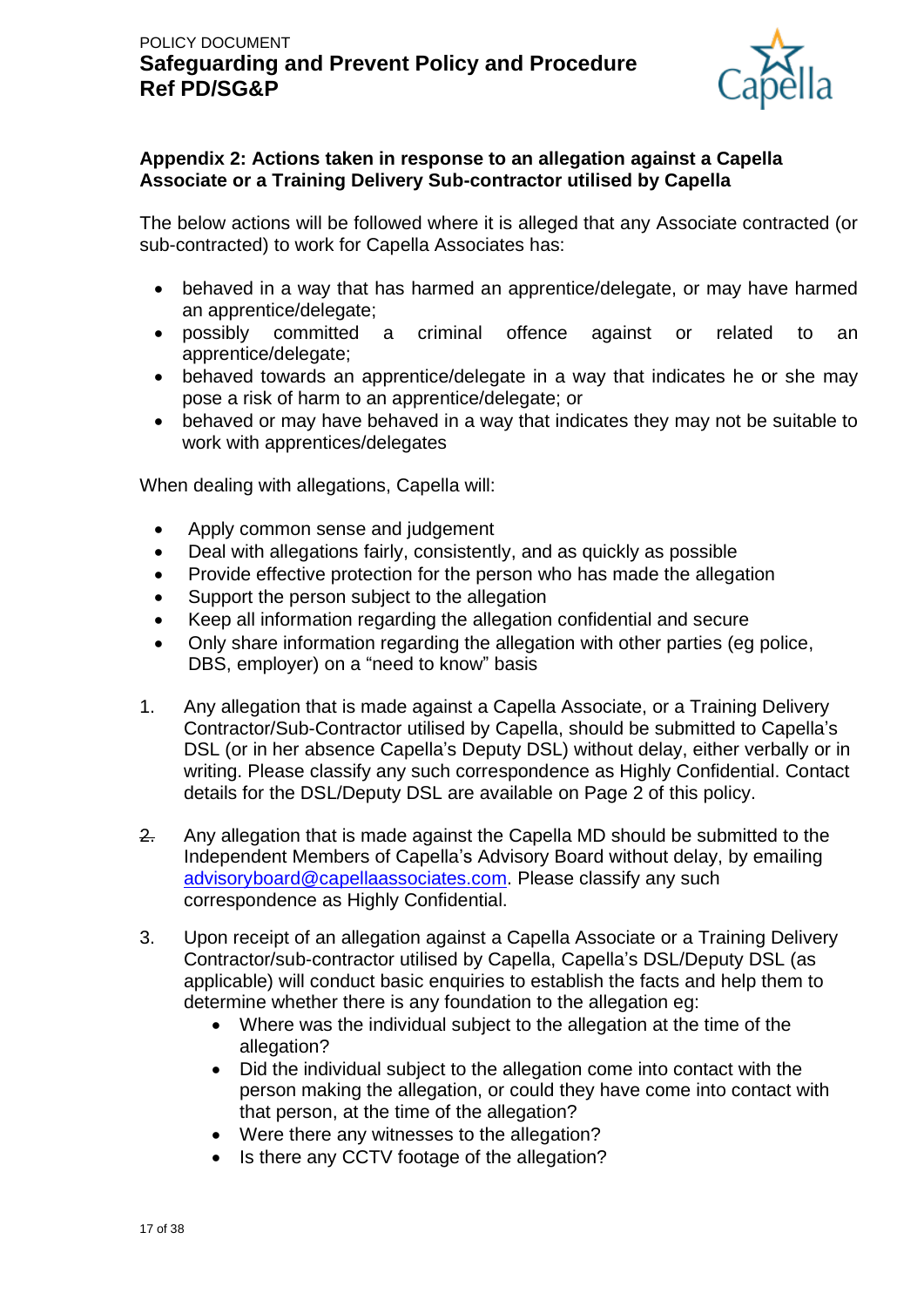

### **Appendix 2: Actions taken in response to an allegation against a Capella Associate or a Training Delivery Sub-contractor utilised by Capella**

The below actions will be followed where it is alleged that any Associate contracted (or sub-contracted) to work for Capella Associates has:

- behaved in a way that has harmed an apprentice/delegate, or may have harmed an apprentice/delegate;
- possibly committed a criminal offence against or related to an apprentice/delegate;
- behaved towards an apprentice/delegate in a way that indicates he or she may pose a risk of harm to an apprentice/delegate; or
- behaved or may have behaved in a way that indicates they may not be suitable to work with apprentices/delegates

When dealing with allegations, Capella will:

- Apply common sense and judgement
- Deal with allegations fairly, consistently, and as quickly as possible
- Provide effective protection for the person who has made the allegation
- Support the person subject to the allegation
- Keep all information regarding the allegation confidential and secure
- Only share information regarding the allegation with other parties (eg police, DBS, employer) on a "need to know" basis
- 1. Any allegation that is made against a Capella Associate, or a Training Delivery Contractor/Sub-Contractor utilised by Capella, should be submitted to Capella's DSL (or in her absence Capella's Deputy DSL) without delay, either verbally or in writing. Please classify any such correspondence as Highly Confidential. Contact details for the DSL/Deputy DSL are available on Page 2 of this policy.
- 2. Any allegation that is made against the Capella MD should be submitted to the Independent Members of Capella's Advisory Board without delay, by emailing [advisoryboard@capellaassociates.com.](mailto:advisoryboard@capellaassociates.com) Please classify any such correspondence as Highly Confidential.
- 3. Upon receipt of an allegation against a Capella Associate or a Training Delivery Contractor/sub-contractor utilised by Capella, Capella's DSL/Deputy DSL (as applicable) will conduct basic enquiries to establish the facts and help them to determine whether there is any foundation to the allegation eg:
	- Where was the individual subject to the allegation at the time of the allegation?
	- Did the individual subject to the allegation come into contact with the person making the allegation, or could they have come into contact with that person, at the time of the allegation?
	- Were there any witnesses to the allegation?
	- Is there any CCTV footage of the allegation?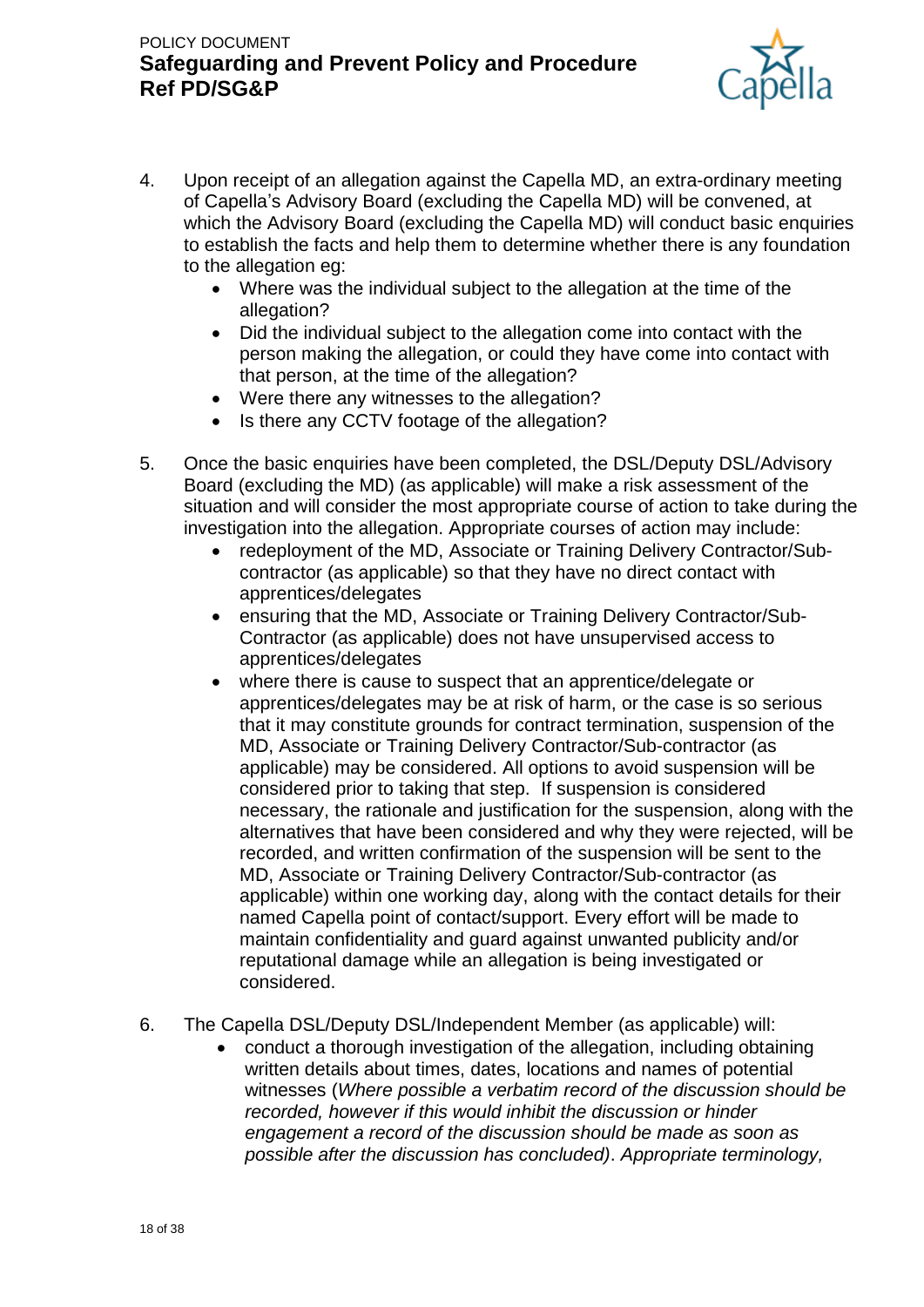

- 4. Upon receipt of an allegation against the Capella MD, an extra-ordinary meeting of Capella's Advisory Board (excluding the Capella MD) will be convened, at which the Advisory Board (excluding the Capella MD) will conduct basic enquiries to establish the facts and help them to determine whether there is any foundation to the allegation eg:
	- Where was the individual subject to the allegation at the time of the allegation?
	- Did the individual subject to the allegation come into contact with the person making the allegation, or could they have come into contact with that person, at the time of the allegation?
	- Were there any witnesses to the allegation?
	- Is there any CCTV footage of the allegation?
- 5. Once the basic enquiries have been completed, the DSL/Deputy DSL/Advisory Board (excluding the MD) (as applicable) will make a risk assessment of the situation and will consider the most appropriate course of action to take during the investigation into the allegation. Appropriate courses of action may include:
	- redeployment of the MD, Associate or Training Delivery Contractor/Subcontractor (as applicable) so that they have no direct contact with apprentices/delegates
	- ensuring that the MD, Associate or Training Delivery Contractor/Sub-Contractor (as applicable) does not have unsupervised access to apprentices/delegates
	- where there is cause to suspect that an apprentice/delegate or apprentices/delegates may be at risk of harm, or the case is so serious that it may constitute grounds for contract termination, suspension of the MD, Associate or Training Delivery Contractor/Sub-contractor (as applicable) may be considered. All options to avoid suspension will be considered prior to taking that step. If suspension is considered necessary, the rationale and justification for the suspension, along with the alternatives that have been considered and why they were rejected, will be recorded, and written confirmation of the suspension will be sent to the MD, Associate or Training Delivery Contractor/Sub-contractor (as applicable) within one working day, along with the contact details for their named Capella point of contact/support. Every effort will be made to maintain confidentiality and guard against unwanted publicity and/or reputational damage while an allegation is being investigated or considered.
- 6. The Capella DSL/Deputy DSL/Independent Member (as applicable) will:
	- conduct a thorough investigation of the allegation, including obtaining written details about times, dates, locations and names of potential witnesses (*Where possible a verbatim record of the discussion should be recorded, however if this would inhibit the discussion or hinder engagement a record of the discussion should be made as soon as possible after the discussion has concluded)*. *Appropriate terminology,*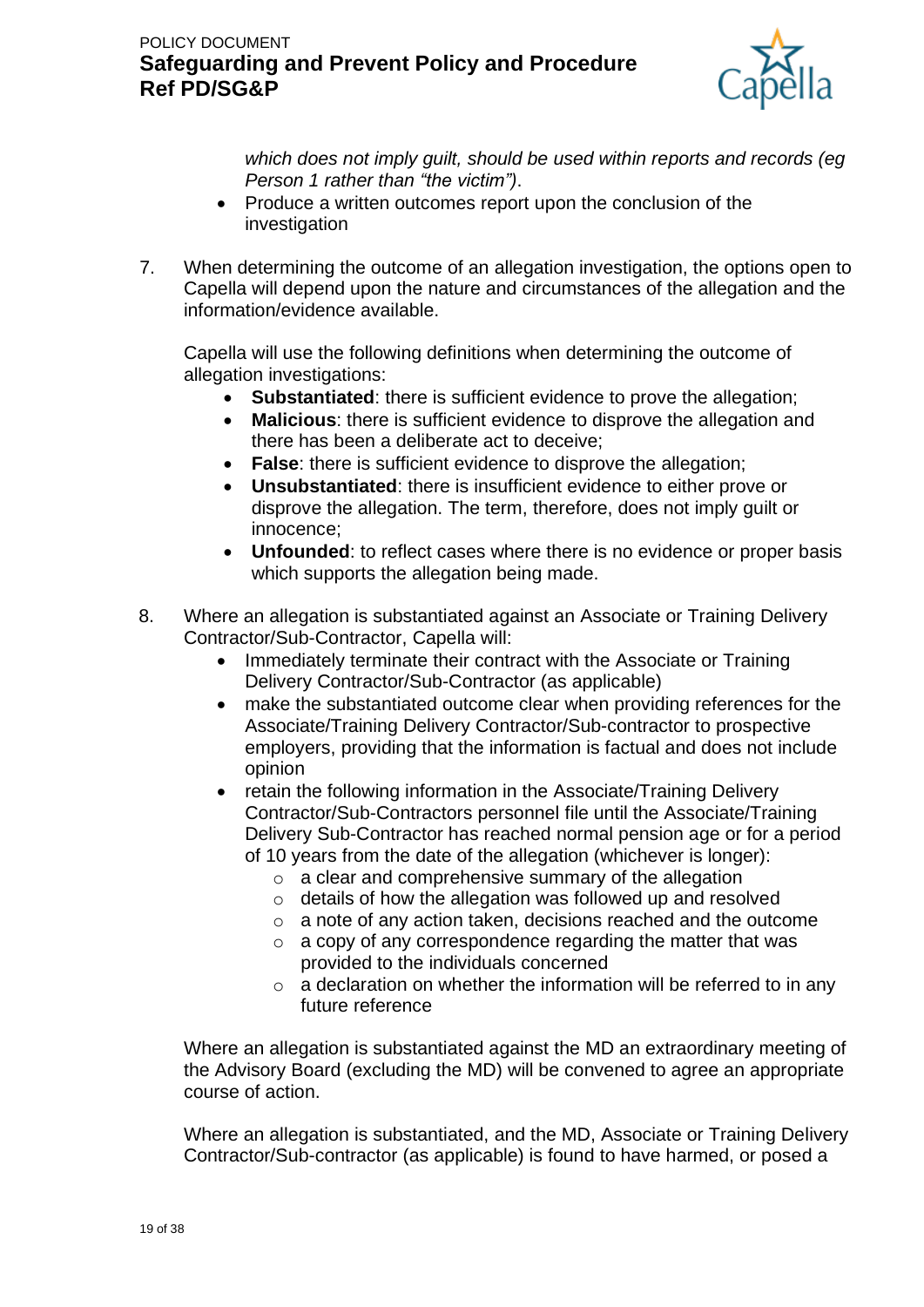

*which does not imply guilt, should be used within reports and records (eg Person 1 rather than "the victim")*.

- Produce a written outcomes report upon the conclusion of the investigation
- 7. When determining the outcome of an allegation investigation, the options open to Capella will depend upon the nature and circumstances of the allegation and the information/evidence available.

Capella will use the following definitions when determining the outcome of allegation investigations:

- **Substantiated:** there is sufficient evidence to prove the allegation;
- **Malicious**: there is sufficient evidence to disprove the allegation and there has been a deliberate act to deceive;
- **False**: there is sufficient evidence to disprove the allegation;
- **Unsubstantiated**: there is insufficient evidence to either prove or disprove the allegation. The term, therefore, does not imply guilt or innocence;
- **Unfounded**: to reflect cases where there is no evidence or proper basis which supports the allegation being made.
- 8. Where an allegation is substantiated against an Associate or Training Delivery Contractor/Sub-Contractor, Capella will:
	- Immediately terminate their contract with the Associate or Training Delivery Contractor/Sub-Contractor (as applicable)
	- make the substantiated outcome clear when providing references for the Associate/Training Delivery Contractor/Sub-contractor to prospective employers, providing that the information is factual and does not include opinion
	- retain the following information in the Associate/Training Delivery Contractor/Sub-Contractors personnel file until the Associate/Training Delivery Sub-Contractor has reached normal pension age or for a period of 10 years from the date of the allegation (whichever is longer):
		- o a clear and comprehensive summary of the allegation
		- o details of how the allegation was followed up and resolved
		- o a note of any action taken, decisions reached and the outcome
		- o a copy of any correspondence regarding the matter that was provided to the individuals concerned
		- $\circ$  a declaration on whether the information will be referred to in any future reference

Where an allegation is substantiated against the MD an extraordinary meeting of the Advisory Board (excluding the MD) will be convened to agree an appropriate course of action.

Where an allegation is substantiated, and the MD, Associate or Training Delivery Contractor/Sub-contractor (as applicable) is found to have harmed, or posed a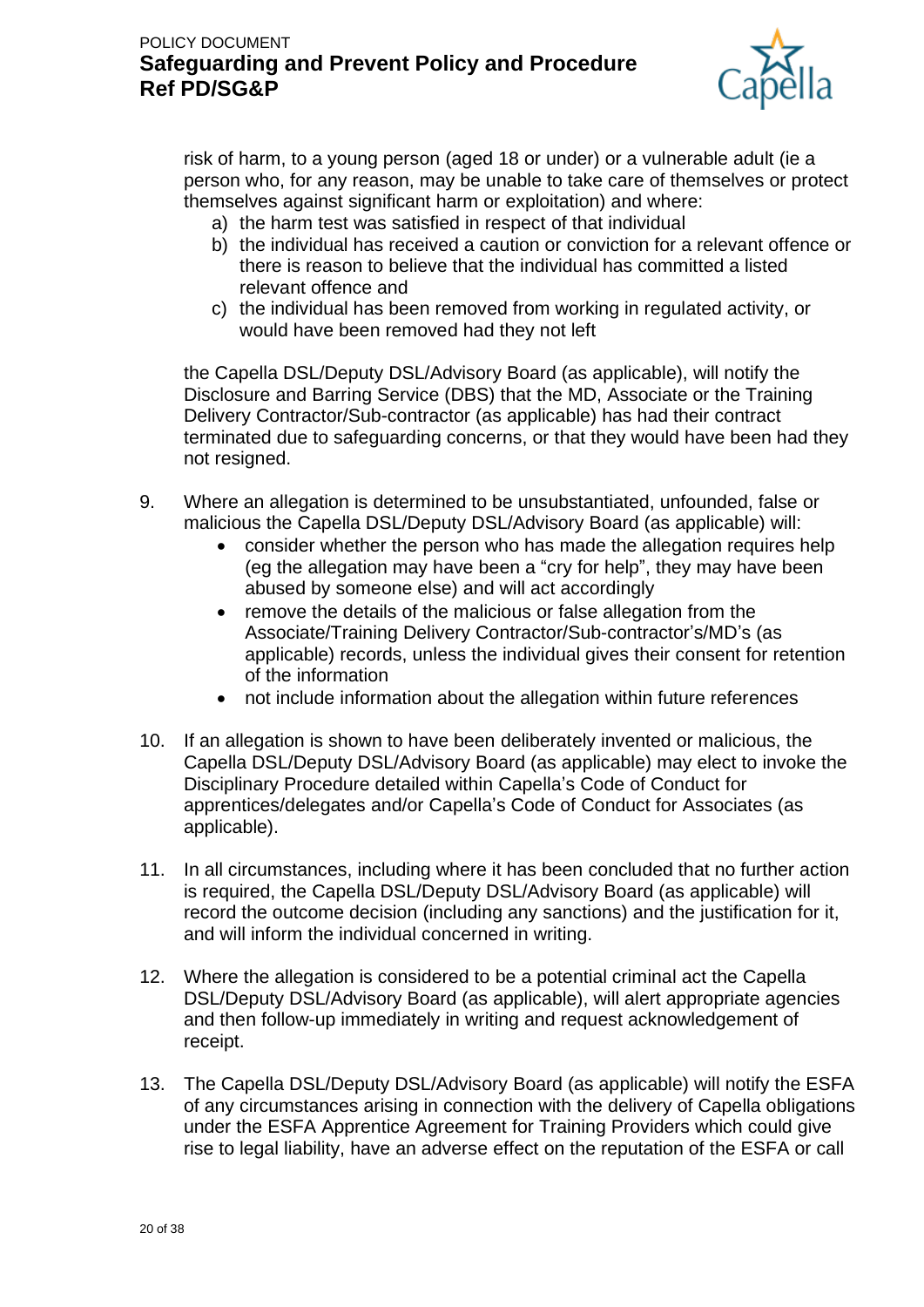

risk of harm, to a young person (aged 18 or under) or a vulnerable adult (ie a person who, for any reason, may be unable to take care of themselves or protect themselves against significant harm or exploitation) and where:

- a) the harm test was satisfied in respect of that individual
- b) the individual has received a caution or conviction for a relevant offence or there is reason to believe that the individual has committed a listed relevant offence and
- c) the individual has been removed from working in regulated activity, or would have been removed had they not left

the Capella DSL/Deputy DSL/Advisory Board (as applicable), will notify the Disclosure and Barring Service (DBS) that the MD, Associate or the Training Delivery Contractor/Sub-contractor (as applicable) has had their contract terminated due to safeguarding concerns, or that they would have been had they not resigned.

- 9. Where an allegation is determined to be unsubstantiated, unfounded, false or malicious the Capella DSL/Deputy DSL/Advisory Board (as applicable) will:
	- consider whether the person who has made the allegation requires help (eg the allegation may have been a "cry for help", they may have been abused by someone else) and will act accordingly
	- remove the details of the malicious or false allegation from the Associate/Training Delivery Contractor/Sub-contractor's/MD's (as applicable) records, unless the individual gives their consent for retention of the information
	- not include information about the allegation within future references
- 10. If an allegation is shown to have been deliberately invented or malicious, the Capella DSL/Deputy DSL/Advisory Board (as applicable) may elect to invoke the Disciplinary Procedure detailed within Capella's Code of Conduct for apprentices/delegates and/or Capella's Code of Conduct for Associates (as applicable).
- 11. In all circumstances, including where it has been concluded that no further action is required, the Capella DSL/Deputy DSL/Advisory Board (as applicable) will record the outcome decision (including any sanctions) and the justification for it, and will inform the individual concerned in writing.
- 12. Where the allegation is considered to be a potential criminal act the Capella DSL/Deputy DSL/Advisory Board (as applicable), will alert appropriate agencies and then follow-up immediately in writing and request acknowledgement of receipt.
- 13. The Capella DSL/Deputy DSL/Advisory Board (as applicable) will notify the ESFA of any circumstances arising in connection with the delivery of Capella obligations under the ESFA Apprentice Agreement for Training Providers which could give rise to legal liability, have an adverse effect on the reputation of the ESFA or call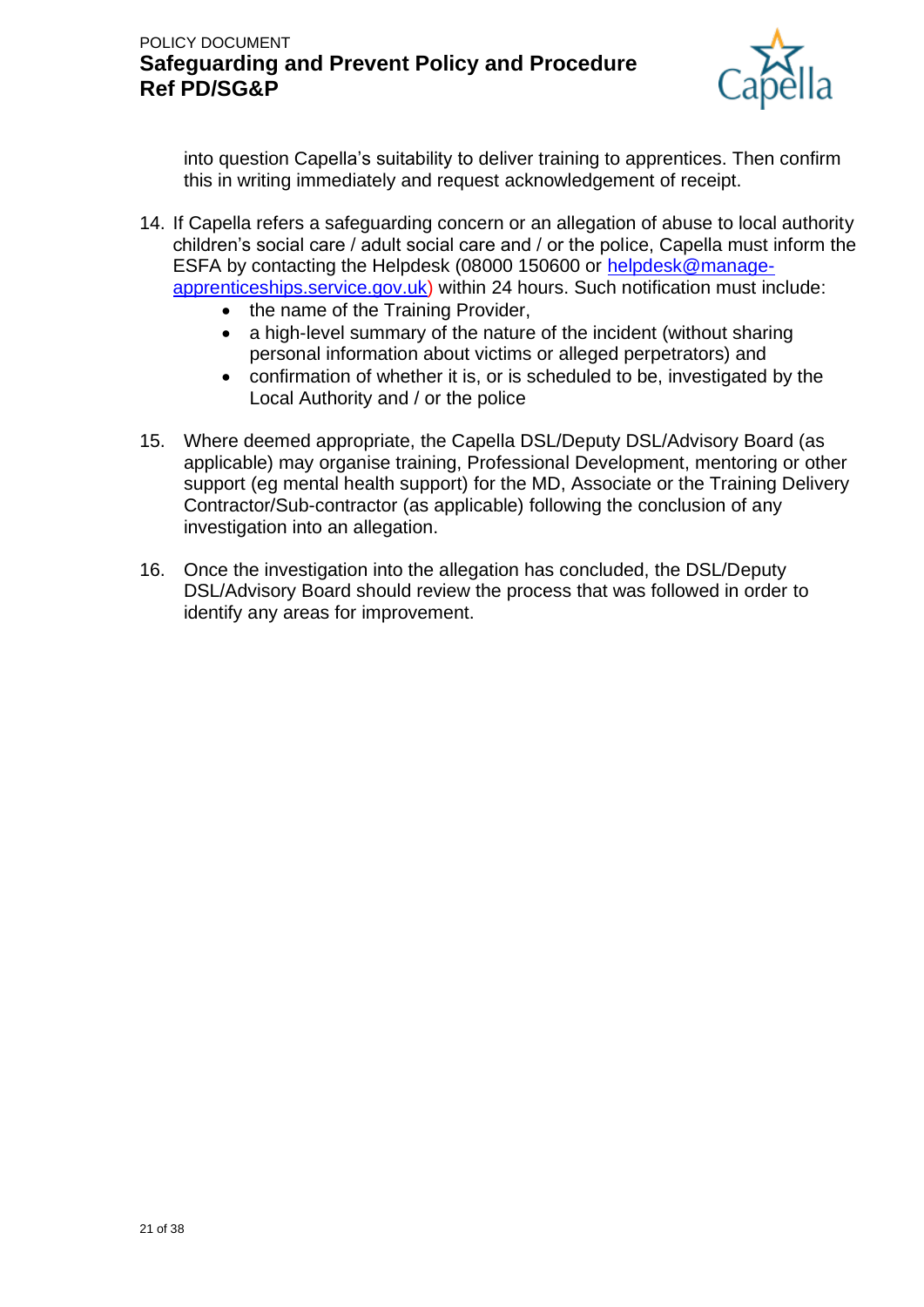

into question Capella's suitability to deliver training to apprentices. Then confirm this in writing immediately and request acknowledgement of receipt.

- 14. If Capella refers a safeguarding concern or an allegation of abuse to local authority children's social care / adult social care and / or the police, Capella must inform the ESFA by contacting the Helpdesk (08000 150600 or [helpdesk@manage](mailto:helpdesk@manage-apprenticeships.service.gov.uk)[apprenticeships.service.gov.uk\)](mailto:helpdesk@manage-apprenticeships.service.gov.uk) within 24 hours. Such notification must include:
	- the name of the Training Provider,
	- a high-level summary of the nature of the incident (without sharing personal information about victims or alleged perpetrators) and
	- confirmation of whether it is, or is scheduled to be, investigated by the Local Authority and / or the police
- 15. Where deemed appropriate, the Capella DSL/Deputy DSL/Advisory Board (as applicable) may organise training, Professional Development, mentoring or other support (eg mental health support) for the MD, Associate or the Training Delivery Contractor/Sub-contractor (as applicable) following the conclusion of any investigation into an allegation.
- 16. Once the investigation into the allegation has concluded, the DSL/Deputy DSL/Advisory Board should review the process that was followed in order to identify any areas for improvement.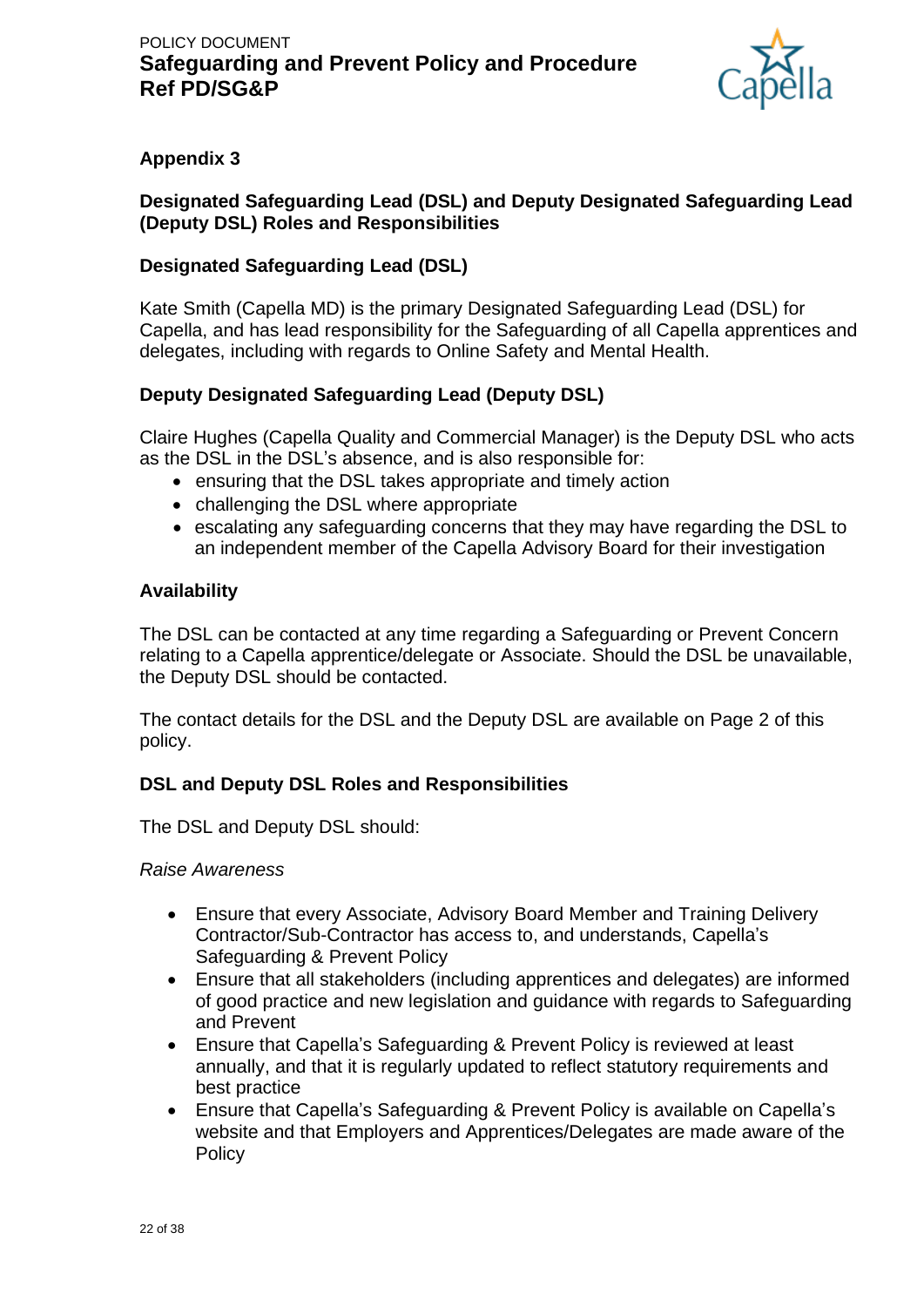

## **Appendix 3**

## **Designated Safeguarding Lead (DSL) and Deputy Designated Safeguarding Lead (Deputy DSL) Roles and Responsibilities**

## **Designated Safeguarding Lead (DSL)**

Kate Smith (Capella MD) is the primary Designated Safeguarding Lead (DSL) for Capella, and has lead responsibility for the Safeguarding of all Capella apprentices and delegates, including with regards to Online Safety and Mental Health.

### **Deputy Designated Safeguarding Lead (Deputy DSL)**

Claire Hughes (Capella Quality and Commercial Manager) is the Deputy DSL who acts as the DSL in the DSL's absence, and is also responsible for:

- ensuring that the DSL takes appropriate and timely action
- challenging the DSL where appropriate
- escalating any safeguarding concerns that they may have regarding the DSL to an independent member of the Capella Advisory Board for their investigation

### **Availability**

The DSL can be contacted at any time regarding a Safeguarding or Prevent Concern relating to a Capella apprentice/delegate or Associate. Should the DSL be unavailable, the Deputy DSL should be contacted.

The contact details for the DSL and the Deputy DSL are available on Page 2 of this policy.

## **DSL and Deputy DSL Roles and Responsibilities**

The DSL and Deputy DSL should:

*Raise Awareness*

- Ensure that every Associate, Advisory Board Member and Training Delivery Contractor/Sub-Contractor has access to, and understands, Capella's Safeguarding & Prevent Policy
- Ensure that all stakeholders (including apprentices and delegates) are informed of good practice and new legislation and guidance with regards to Safeguarding and Prevent
- Ensure that Capella's Safeguarding & Prevent Policy is reviewed at least annually, and that it is regularly updated to reflect statutory requirements and best practice
- Ensure that Capella's Safeguarding & Prevent Policy is available on Capella's website and that Employers and Apprentices/Delegates are made aware of the **Policy**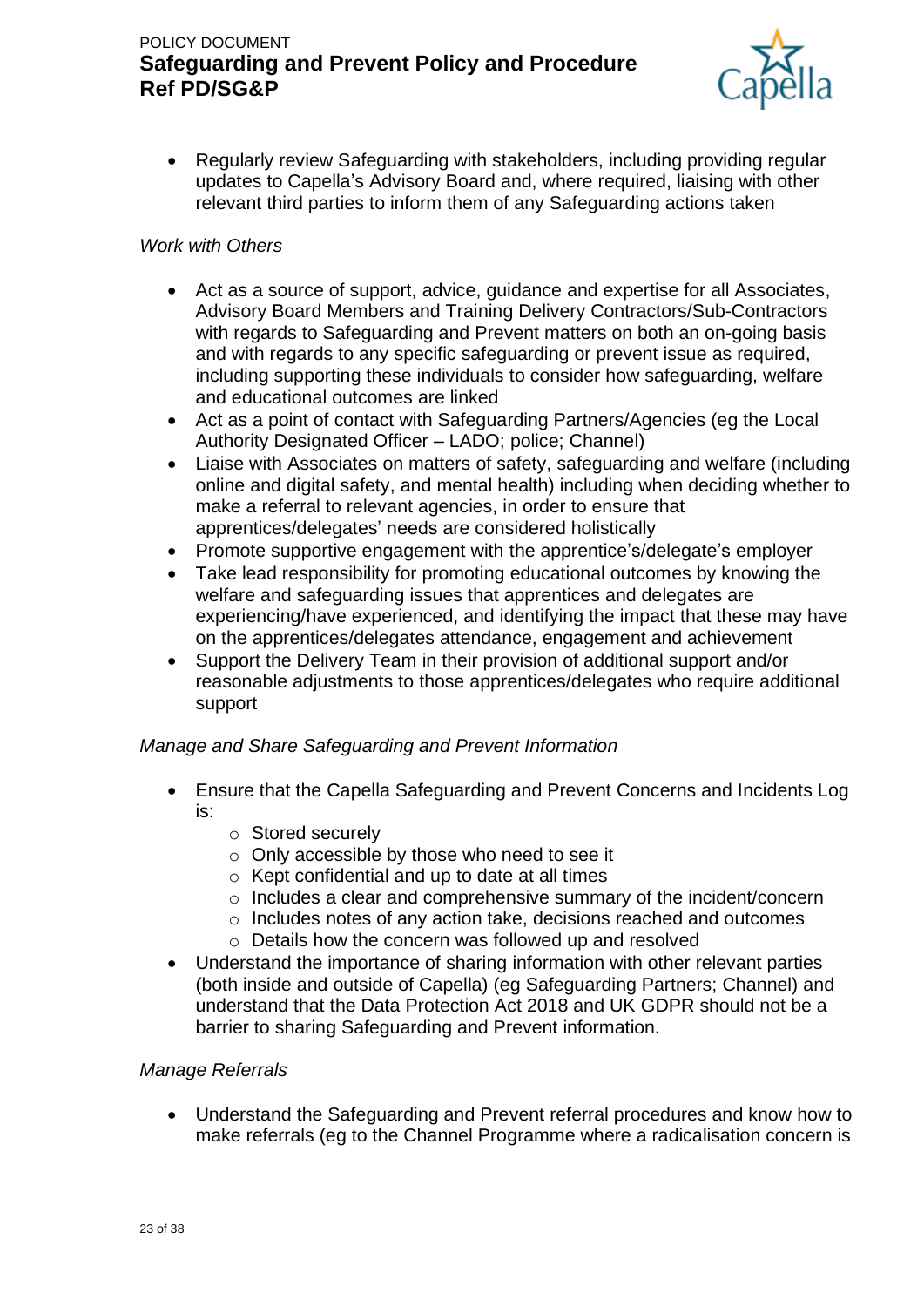

• Regularly review Safeguarding with stakeholders, including providing regular updates to Capella's Advisory Board and, where required, liaising with other relevant third parties to inform them of any Safeguarding actions taken

### *Work with Others*

- Act as a source of support, advice, guidance and expertise for all Associates, Advisory Board Members and Training Delivery Contractors/Sub-Contractors with regards to Safeguarding and Prevent matters on both an on-going basis and with regards to any specific safeguarding or prevent issue as required, including supporting these individuals to consider how safeguarding, welfare and educational outcomes are linked
- Act as a point of contact with Safeguarding Partners/Agencies (eg the Local Authority Designated Officer – LADO; police; Channel)
- Liaise with Associates on matters of safety, safeguarding and welfare (including online and digital safety, and mental health) including when deciding whether to make a referral to relevant agencies, in order to ensure that apprentices/delegates' needs are considered holistically
- Promote supportive engagement with the apprentice's/delegate's employer
- Take lead responsibility for promoting educational outcomes by knowing the welfare and safeguarding issues that apprentices and delegates are experiencing/have experienced, and identifying the impact that these may have on the apprentices/delegates attendance, engagement and achievement
- Support the Delivery Team in their provision of additional support and/or reasonable adjustments to those apprentices/delegates who require additional support

### *Manage and Share Safeguarding and Prevent Information*

- Ensure that the Capella Safeguarding and Prevent Concerns and Incidents Log is:
	- o Stored securely
	- o Only accessible by those who need to see it
	- o Kept confidential and up to date at all times
	- o Includes a clear and comprehensive summary of the incident/concern
	- o Includes notes of any action take, decisions reached and outcomes
	- o Details how the concern was followed up and resolved
- Understand the importance of sharing information with other relevant parties (both inside and outside of Capella) (eg Safeguarding Partners; Channel) and understand that the Data Protection Act 2018 and UK GDPR should not be a barrier to sharing Safeguarding and Prevent information.

## *Manage Referrals*

• Understand the Safeguarding and Prevent referral procedures and know how to make referrals (eg to the Channel Programme where a radicalisation concern is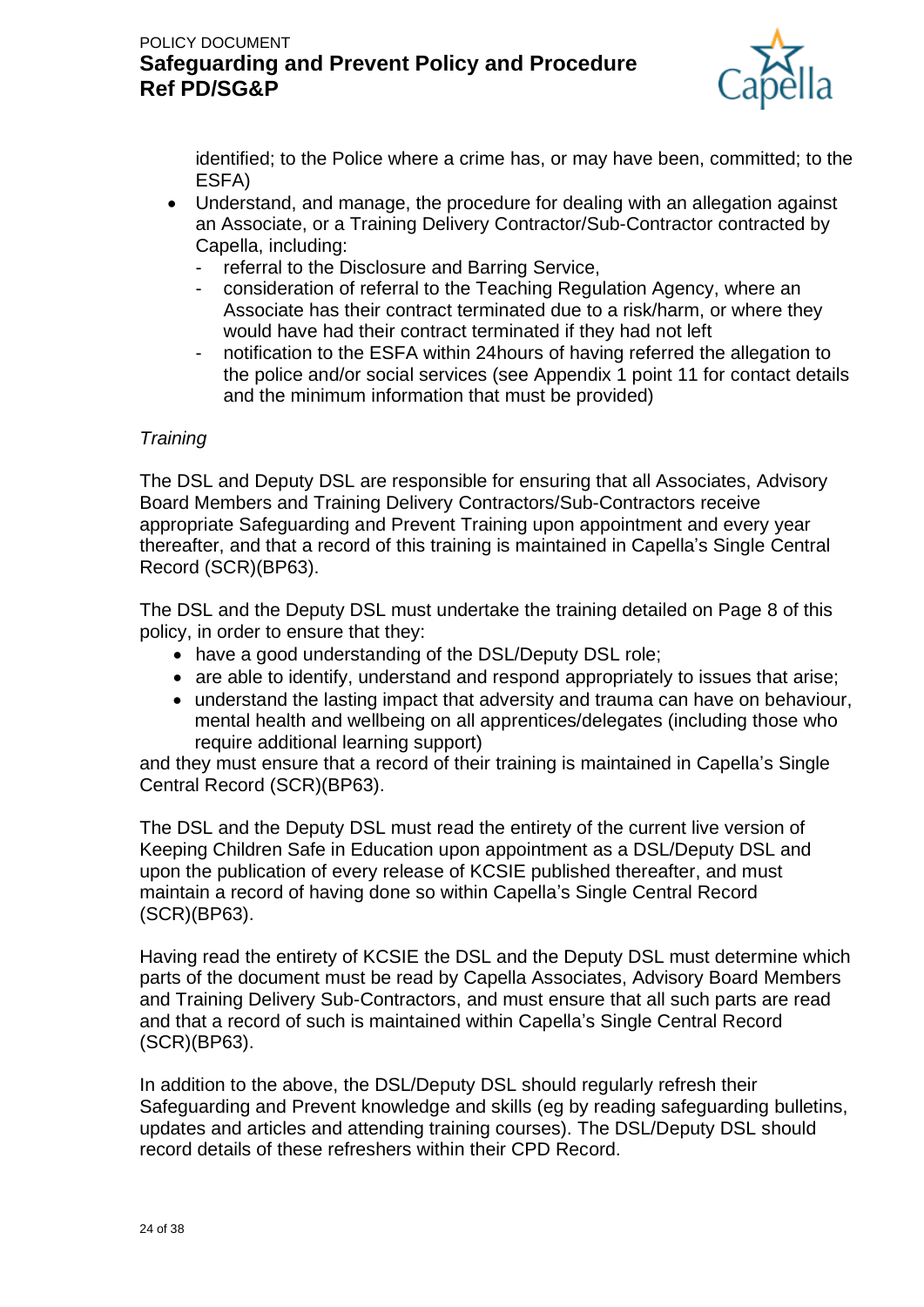

identified; to the Police where a crime has, or may have been, committed; to the ESFA)

- Understand, and manage, the procedure for dealing with an allegation against an Associate, or a Training Delivery Contractor/Sub-Contractor contracted by Capella, including:
	- referral to the Disclosure and Barring Service,
	- consideration of referral to the Teaching Regulation Agency, where an Associate has their contract terminated due to a risk/harm, or where they would have had their contract terminated if they had not left
	- notification to the ESFA within 24 hours of having referred the allegation to the police and/or social services (see Appendix 1 point 11 for contact details and the minimum information that must be provided)

#### *Training*

The DSL and Deputy DSL are responsible for ensuring that all Associates, Advisory Board Members and Training Delivery Contractors/Sub-Contractors receive appropriate Safeguarding and Prevent Training upon appointment and every year thereafter, and that a record of this training is maintained in Capella's Single Central Record (SCR)(BP63).

The DSL and the Deputy DSL must undertake the training detailed on Page 8 of this policy, in order to ensure that they:

- have a good understanding of the DSL/Deputy DSL role;
- are able to identify, understand and respond appropriately to issues that arise;
- understand the lasting impact that adversity and trauma can have on behaviour, mental health and wellbeing on all apprentices/delegates (including those who require additional learning support)

and they must ensure that a record of their training is maintained in Capella's Single Central Record (SCR)(BP63).

The DSL and the Deputy DSL must read the entirety of the current live version of Keeping Children Safe in Education upon appointment as a DSL/Deputy DSL and upon the publication of every release of KCSIE published thereafter, and must maintain a record of having done so within Capella's Single Central Record (SCR)(BP63).

Having read the entirety of KCSIE the DSL and the Deputy DSL must determine which parts of the document must be read by Capella Associates, Advisory Board Members and Training Delivery Sub-Contractors, and must ensure that all such parts are read and that a record of such is maintained within Capella's Single Central Record (SCR)(BP63).

In addition to the above, the DSL/Deputy DSL should regularly refresh their Safeguarding and Prevent knowledge and skills (eg by reading safeguarding bulletins, updates and articles and attending training courses). The DSL/Deputy DSL should record details of these refreshers within their CPD Record.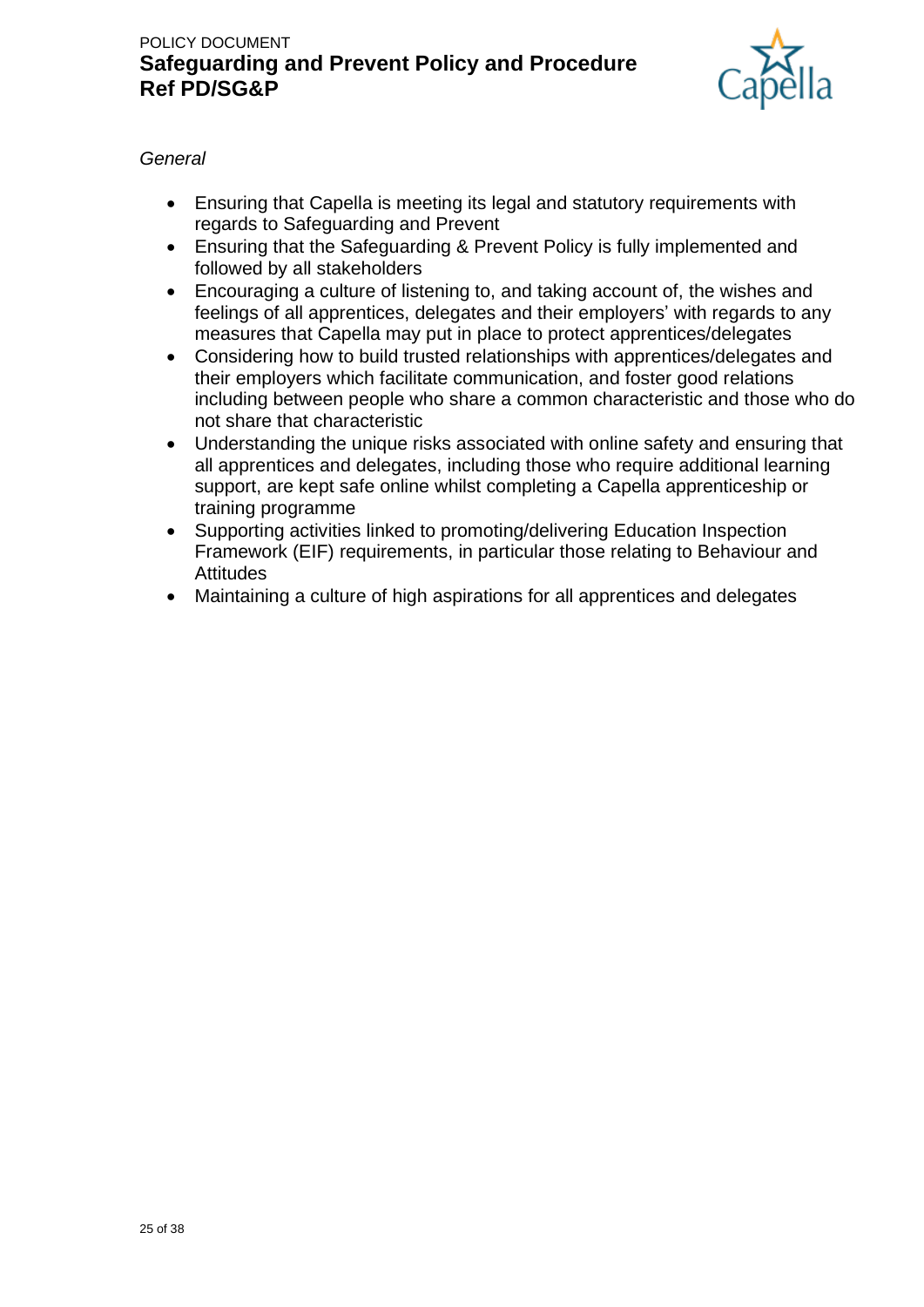

## *General*

- Ensuring that Capella is meeting its legal and statutory requirements with regards to Safeguarding and Prevent
- Ensuring that the Safeguarding & Prevent Policy is fully implemented and followed by all stakeholders
- Encouraging a culture of listening to, and taking account of, the wishes and feelings of all apprentices, delegates and their employers' with regards to any measures that Capella may put in place to protect apprentices/delegates
- Considering how to build trusted relationships with apprentices/delegates and their employers which facilitate communication, and foster good relations including between people who share a common characteristic and those who do not share that characteristic
- Understanding the unique risks associated with online safety and ensuring that all apprentices and delegates, including those who require additional learning support, are kept safe online whilst completing a Capella apprenticeship or training programme
- Supporting activities linked to promoting/delivering Education Inspection Framework (EIF) requirements, in particular those relating to Behaviour and **Attitudes**
- Maintaining a culture of high aspirations for all apprentices and delegates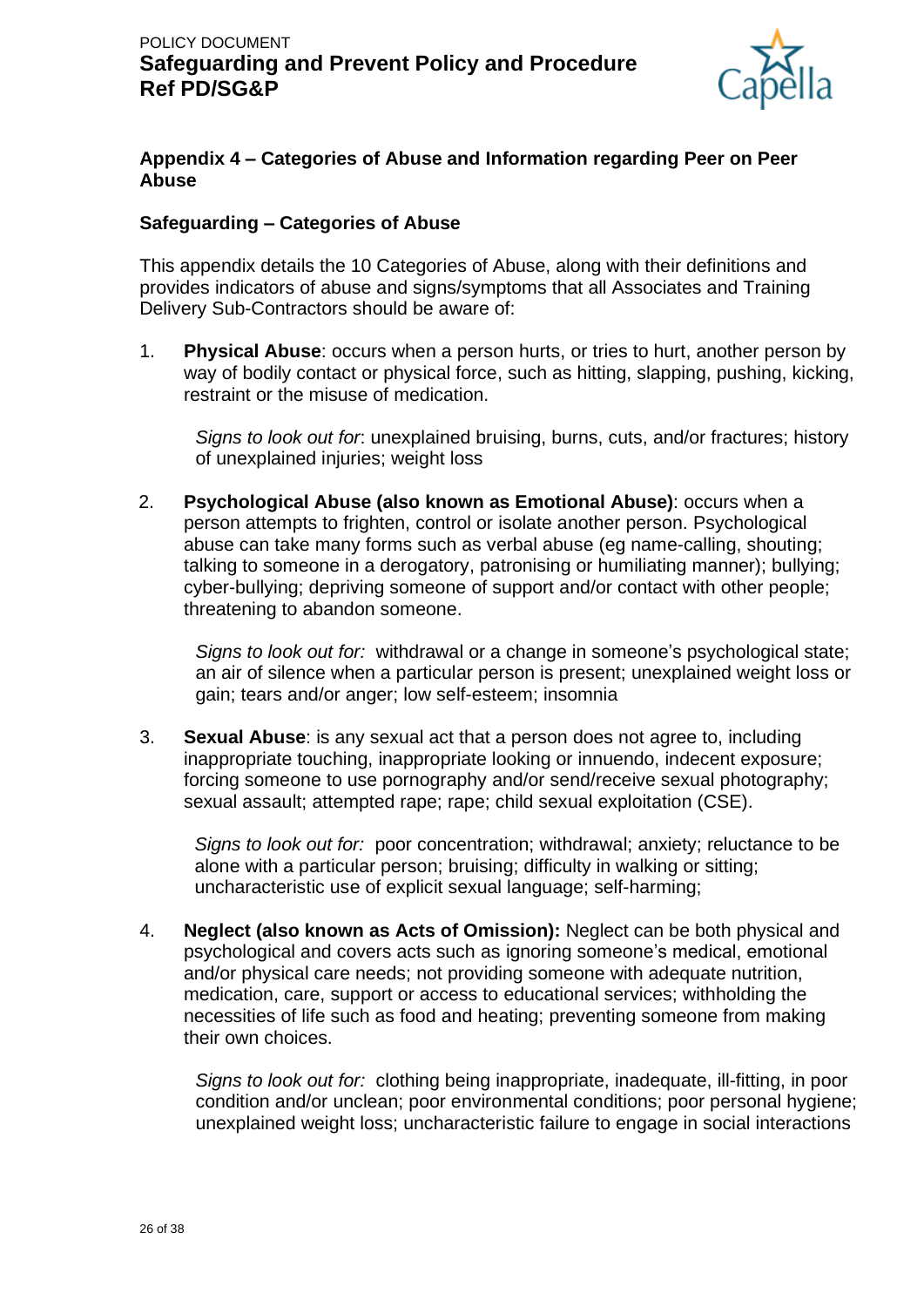

### **Appendix 4 – Categories of Abuse and Information regarding Peer on Peer Abuse**

#### **Safeguarding – Categories of Abuse**

This appendix details the 10 Categories of Abuse, along with their definitions and provides indicators of abuse and signs/symptoms that all Associates and Training Delivery Sub-Contractors should be aware of:

1. **Physical Abuse**: occurs when a person hurts, or tries to hurt, another person by way of bodily contact or physical force, such as hitting, slapping, pushing, kicking, restraint or the misuse of medication.

*Signs to look out for*: unexplained bruising, burns, cuts, and/or fractures; history of unexplained injuries; weight loss

2. **Psychological Abuse (also known as Emotional Abuse)**: occurs when a person attempts to frighten, control or isolate another person. Psychological abuse can take many forms such as verbal abuse (eg name-calling, shouting; talking to someone in a derogatory, patronising or humiliating manner); bullying; cyber-bullying; depriving someone of support and/or contact with other people; threatening to abandon someone.

*Signs to look out for:* withdrawal or a change in someone's psychological state; an air of silence when a particular person is present; unexplained weight loss or gain; tears and/or anger; low self-esteem; insomnia

3. **Sexual Abuse**: is any sexual act that a person does not agree to, including inappropriate touching, inappropriate looking or innuendo, indecent exposure; forcing someone to use pornography and/or send/receive sexual photography; sexual assault; attempted rape; rape; child sexual exploitation (CSE).

*Signs to look out for:* poor concentration; withdrawal; anxiety; reluctance to be alone with a particular person; bruising; difficulty in walking or sitting; uncharacteristic use of explicit sexual language; self-harming;

4. **Neglect (also known as Acts of Omission):** Neglect can be both physical and psychological and covers acts such as ignoring someone's medical, emotional and/or physical care needs; not providing someone with adequate nutrition, medication, care, support or access to educational services; withholding the necessities of life such as food and heating; preventing someone from making their own choices.

*Signs to look out for:* clothing being inappropriate, inadequate, ill-fitting, in poor condition and/or unclean; poor environmental conditions; poor personal hygiene; unexplained weight loss; uncharacteristic failure to engage in social interactions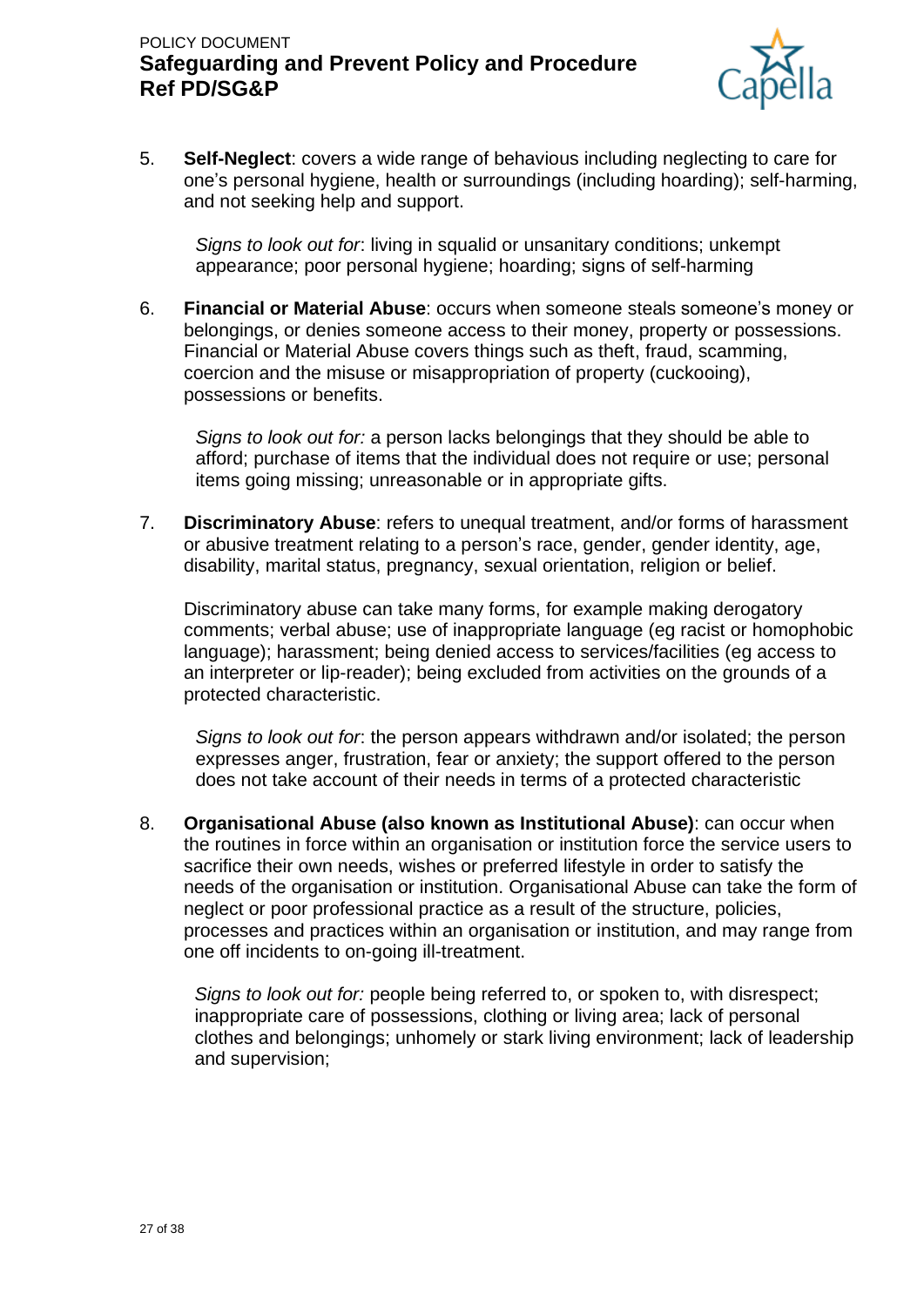

5. **Self-Neglect**: covers a wide range of behavious including neglecting to care for one's personal hygiene, health or surroundings (including hoarding); self-harming, and not seeking help and support.

*Signs to look out for*: living in squalid or unsanitary conditions; unkempt appearance; poor personal hygiene; hoarding; signs of self-harming

6. **Financial or Material Abuse**: occurs when someone steals someone's money or belongings, or denies someone access to their money, property or possessions. Financial or Material Abuse covers things such as theft, fraud, scamming, coercion and the misuse or misappropriation of property (cuckooing), possessions or benefits.

*Signs to look out for:* a person lacks belongings that they should be able to afford; purchase of items that the individual does not require or use; personal items going missing; unreasonable or in appropriate gifts.

7. **Discriminatory Abuse**: refers to unequal treatment, and/or forms of harassment or abusive treatment relating to a person's race, gender, gender identity, age, disability, marital status, pregnancy, sexual orientation, religion or belief.

Discriminatory abuse can take many forms, for example making derogatory comments; verbal abuse; use of inappropriate language (eg racist or homophobic language); harassment; being denied access to services/facilities (eg access to an interpreter or lip-reader); being excluded from activities on the grounds of a protected characteristic.

*Signs to look out for*: the person appears withdrawn and/or isolated; the person expresses anger, frustration, fear or anxiety; the support offered to the person does not take account of their needs in terms of a protected characteristic

8. **Organisational Abuse (also known as Institutional Abuse)**: can occur when the routines in force within an organisation or institution force the service users to sacrifice their own needs, wishes or preferred lifestyle in order to satisfy the needs of the organisation or institution. Organisational Abuse can take the form of neglect or poor professional practice as a result of the structure, policies, processes and practices within an organisation or institution, and may range from one off incidents to on-going ill-treatment.

*Signs to look out for:* people being referred to, or spoken to, with disrespect; inappropriate care of possessions, clothing or living area; lack of personal clothes and belongings; unhomely or stark living environment; lack of leadership and supervision;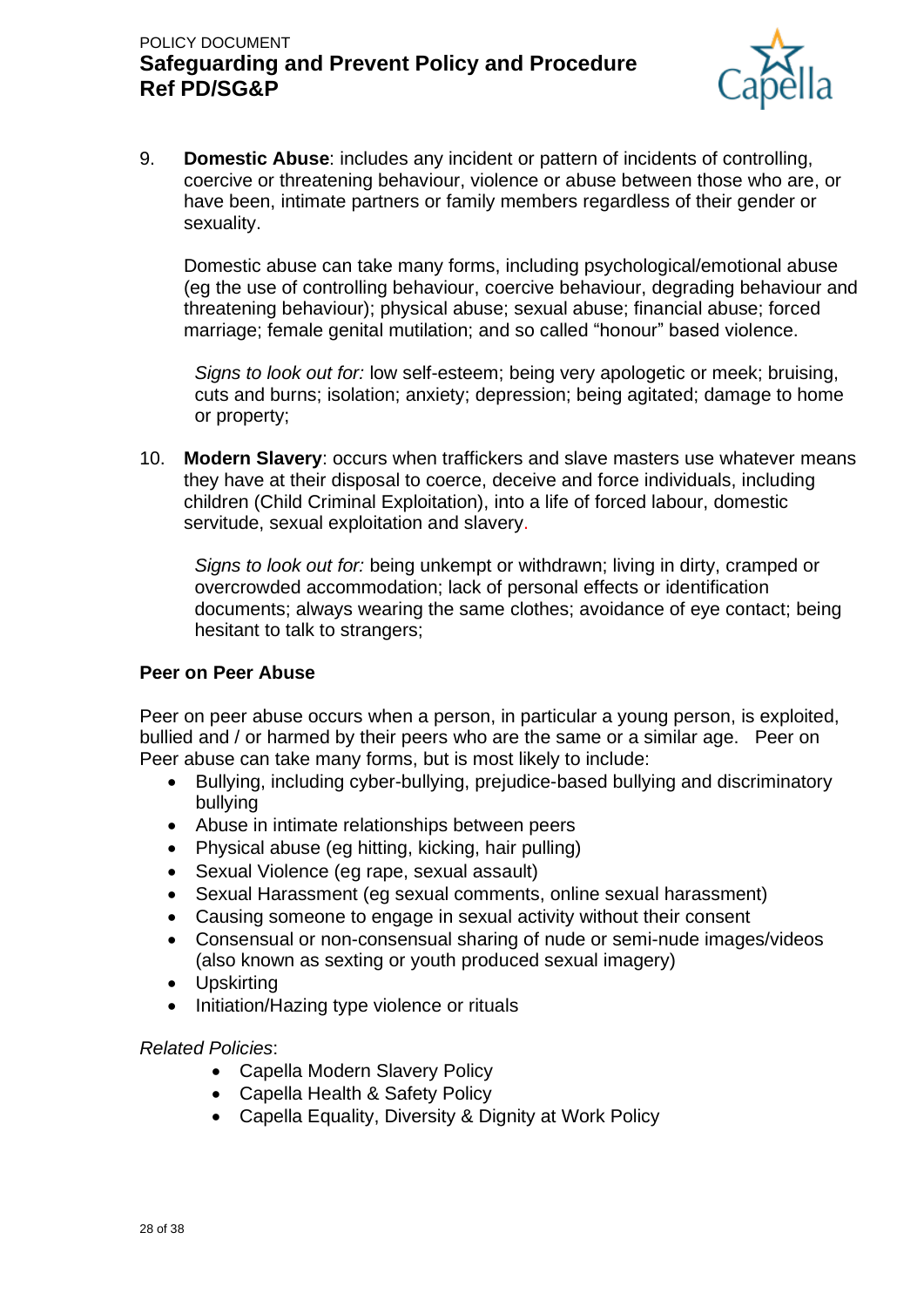

9. **Domestic Abuse**: includes any incident or pattern of incidents of controlling, coercive or threatening behaviour, violence or abuse between those who are, or have been, intimate partners or family members regardless of their gender or sexuality.

Domestic abuse can take many forms, including psychological/emotional abuse (eg the use of controlling behaviour, coercive behaviour, degrading behaviour and threatening behaviour); physical abuse; sexual abuse; financial abuse; forced marriage; female genital mutilation; and so called "honour" based violence.

*Signs to look out for:* low self-esteem; being very apologetic or meek; bruising, cuts and burns; isolation; anxiety; depression; being agitated; damage to home or property;

10. **Modern Slavery**: occurs when traffickers and slave masters use whatever means they have at their disposal to coerce, deceive and force individuals, including children (Child Criminal Exploitation), into a life of forced labour, domestic servitude, sexual exploitation and slavery.

*Signs to look out for:* being unkempt or withdrawn; living in dirty, cramped or overcrowded accommodation; lack of personal effects or identification documents; always wearing the same clothes; avoidance of eye contact; being hesitant to talk to strangers;

#### **Peer on Peer Abuse**

Peer on peer abuse occurs when a person, in particular a young person, is exploited, bullied and / or harmed by their peers who are the same or a similar age. Peer on Peer abuse can take many forms, but is most likely to include:

- Bullying, including cyber-bullying, prejudice-based bullying and discriminatory bullying
- Abuse in intimate relationships between peers
- Physical abuse (eg hitting, kicking, hair pulling)
- Sexual Violence (eg rape, sexual assault)
- Sexual Harassment (eg sexual comments, online sexual harassment)
- Causing someone to engage in sexual activity without their consent
- Consensual or non-consensual sharing of nude or semi-nude images/videos (also known as sexting or youth produced sexual imagery)
- Upskirting
- Initiation/Hazing type violence or rituals

*Related Policies*:

- Capella Modern Slavery Policy
- Capella Health & Safety Policy
- Capella Equality, Diversity & Dignity at Work Policy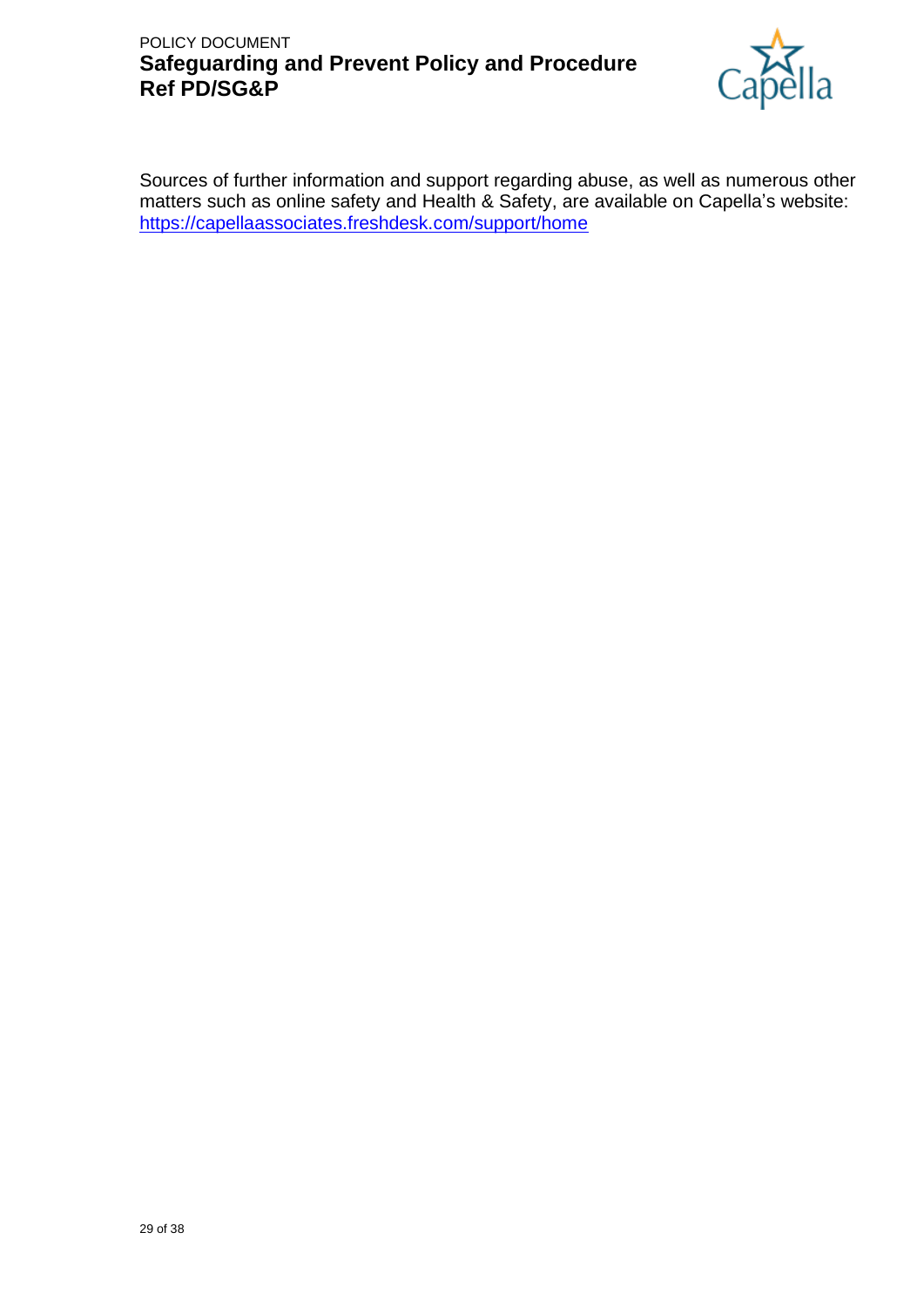

Sources of further information and support regarding abuse, as well as numerous other matters such as online safety and Health & Safety, are available on Capella's website: <https://capellaassociates.freshdesk.com/support/home>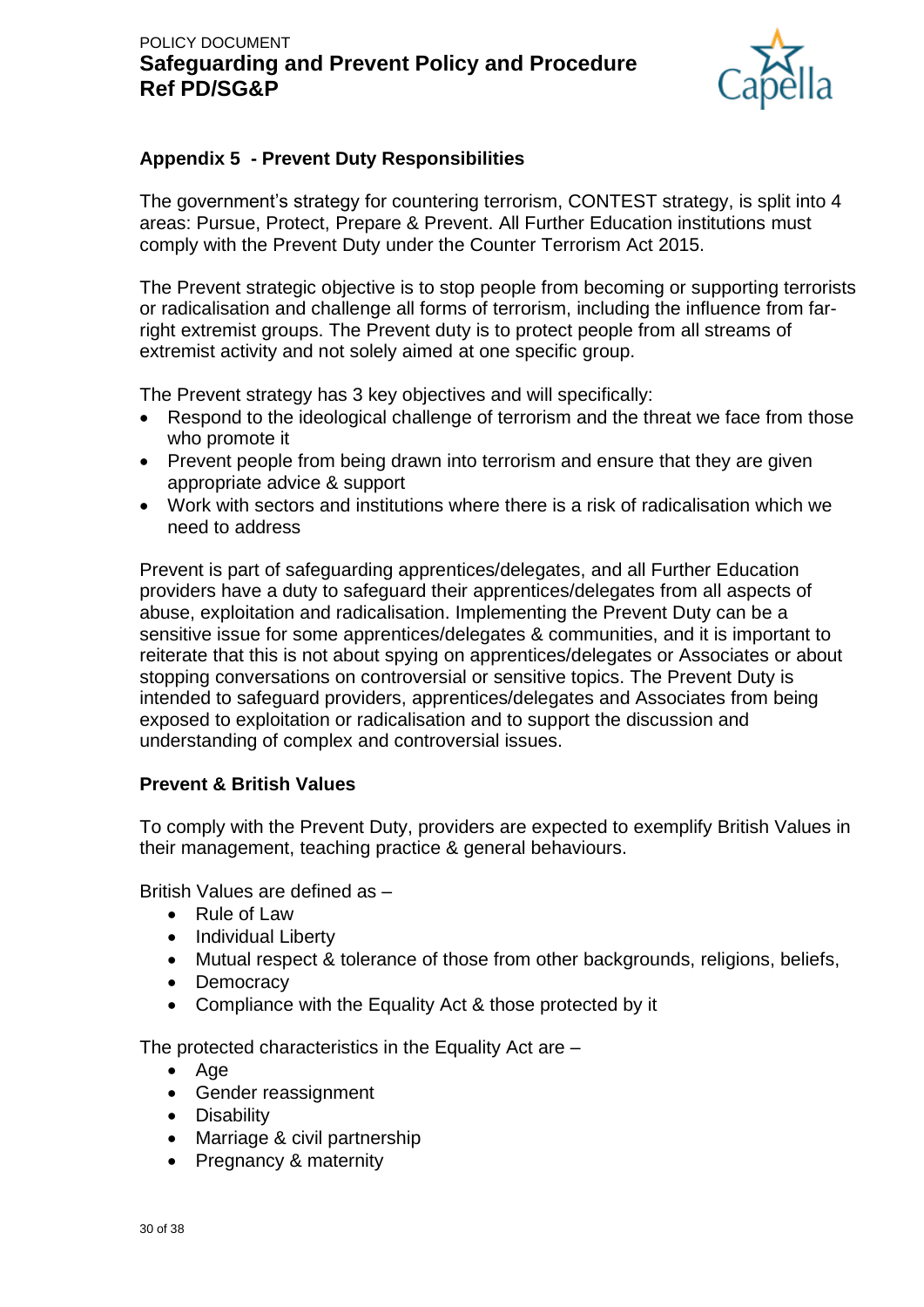

## **Appendix 5 - Prevent Duty Responsibilities**

The government's strategy for countering terrorism, CONTEST strategy, is split into 4 areas: Pursue, Protect, Prepare & Prevent. All Further Education institutions must comply with the Prevent Duty under the Counter Terrorism Act 2015.

The Prevent strategic objective is to stop people from becoming or supporting terrorists or radicalisation and challenge all forms of terrorism, including the influence from farright extremist groups. The Prevent duty is to protect people from all streams of extremist activity and not solely aimed at one specific group.

The Prevent strategy has 3 key objectives and will specifically:

- Respond to the ideological challenge of terrorism and the threat we face from those who promote it
- Prevent people from being drawn into terrorism and ensure that they are given appropriate advice & support
- Work with sectors and institutions where there is a risk of radicalisation which we need to address

Prevent is part of safeguarding apprentices/delegates, and all Further Education providers have a duty to safeguard their apprentices/delegates from all aspects of abuse, exploitation and radicalisation. Implementing the Prevent Duty can be a sensitive issue for some apprentices/delegates & communities, and it is important to reiterate that this is not about spying on apprentices/delegates or Associates or about stopping conversations on controversial or sensitive topics. The Prevent Duty is intended to safeguard providers, apprentices/delegates and Associates from being exposed to exploitation or radicalisation and to support the discussion and understanding of complex and controversial issues.

### **Prevent & British Values**

To comply with the Prevent Duty, providers are expected to exemplify British Values in their management, teaching practice & general behaviours.

British Values are defined as –

- Rule of Law
- Individual Liberty
- Mutual respect & tolerance of those from other backgrounds, religions, beliefs,
- Democracy
- Compliance with the Equality Act & those protected by it

The protected characteristics in the Equality Act are –

- Age
- Gender reassignment
- Disability
- Marriage & civil partnership
- Pregnancy & maternity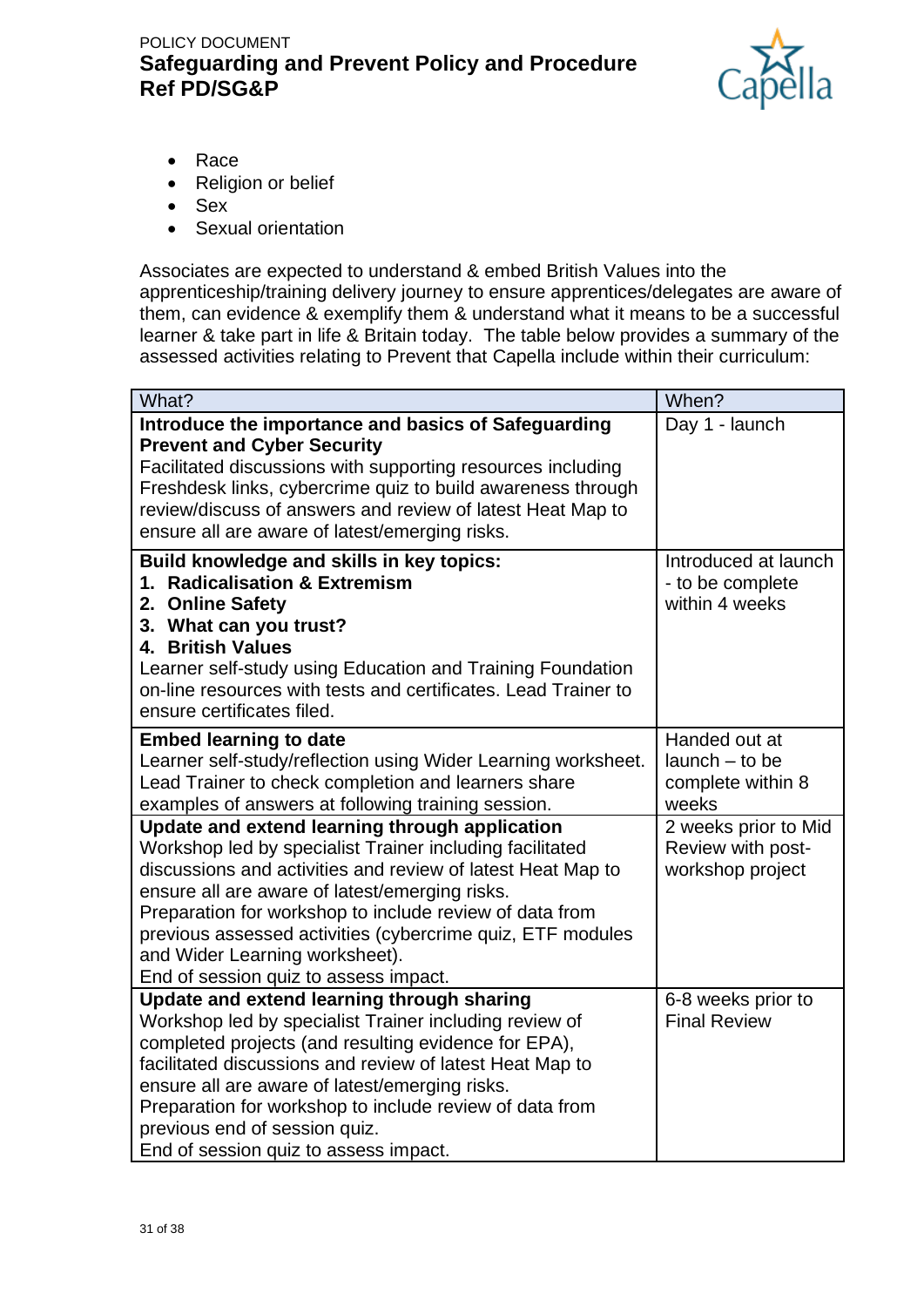

- Race
- Religion or belief
- Sex
- Sexual orientation

Associates are expected to understand & embed British Values into the apprenticeship/training delivery journey to ensure apprentices/delegates are aware of them, can evidence & exemplify them & understand what it means to be a successful learner & take part in life & Britain today. The table below provides a summary of the assessed activities relating to Prevent that Capella include within their curriculum:

| What?                                                                                                                                                                                                                                                                                                                                                                                                                           | When?                                                              |
|---------------------------------------------------------------------------------------------------------------------------------------------------------------------------------------------------------------------------------------------------------------------------------------------------------------------------------------------------------------------------------------------------------------------------------|--------------------------------------------------------------------|
| Introduce the importance and basics of Safeguarding<br><b>Prevent and Cyber Security</b><br>Facilitated discussions with supporting resources including<br>Freshdesk links, cybercrime quiz to build awareness through<br>review/discuss of answers and review of latest Heat Map to<br>ensure all are aware of latest/emerging risks.                                                                                          | Day 1 - launch                                                     |
| Build knowledge and skills in key topics:<br>1. Radicalisation & Extremism<br>2. Online Safety<br>3. What can you trust?<br>4. British Values<br>Learner self-study using Education and Training Foundation<br>on-line resources with tests and certificates. Lead Trainer to<br>ensure certificates filed.                                                                                                                     | Introduced at launch<br>- to be complete<br>within 4 weeks         |
| <b>Embed learning to date</b><br>Learner self-study/reflection using Wider Learning worksheet.<br>Lead Trainer to check completion and learners share<br>examples of answers at following training session.                                                                                                                                                                                                                     | Handed out at<br>$l$ aunch $-$ to be<br>complete within 8<br>weeks |
| Update and extend learning through application<br>Workshop led by specialist Trainer including facilitated<br>discussions and activities and review of latest Heat Map to<br>ensure all are aware of latest/emerging risks.<br>Preparation for workshop to include review of data from<br>previous assessed activities (cybercrime quiz, ETF modules<br>and Wider Learning worksheet).<br>End of session quiz to assess impact. | 2 weeks prior to Mid<br>Review with post-<br>workshop project      |
| Update and extend learning through sharing<br>Workshop led by specialist Trainer including review of<br>completed projects (and resulting evidence for EPA),<br>facilitated discussions and review of latest Heat Map to<br>ensure all are aware of latest/emerging risks.<br>Preparation for workshop to include review of data from<br>previous end of session quiz.<br>End of session quiz to assess impact.                 | 6-8 weeks prior to<br><b>Final Review</b>                          |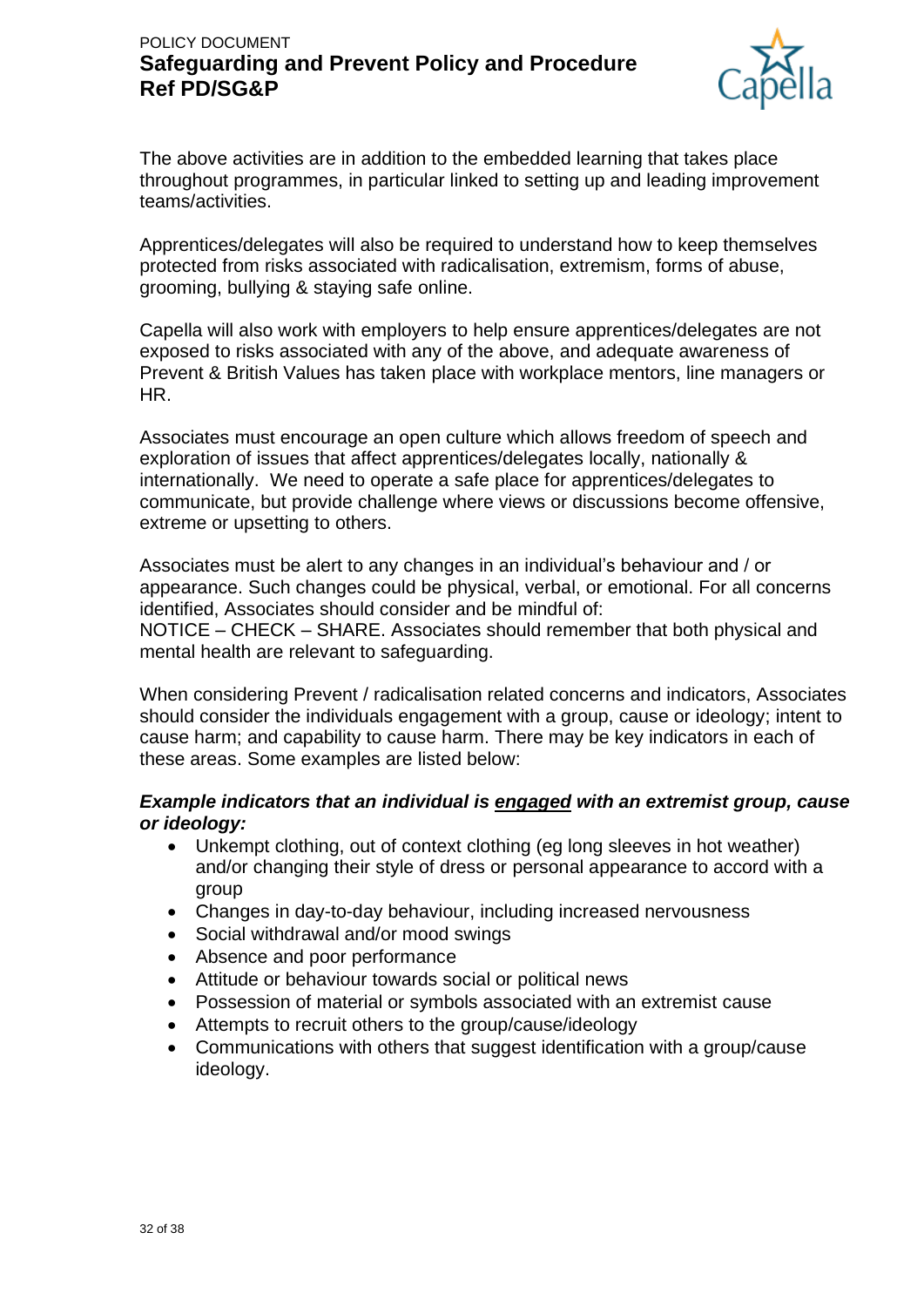

The above activities are in addition to the embedded learning that takes place throughout programmes, in particular linked to setting up and leading improvement teams/activities.

Apprentices/delegates will also be required to understand how to keep themselves protected from risks associated with radicalisation, extremism, forms of abuse, grooming, bullying & staying safe online.

Capella will also work with employers to help ensure apprentices/delegates are not exposed to risks associated with any of the above, and adequate awareness of Prevent & British Values has taken place with workplace mentors, line managers or HR.

Associates must encourage an open culture which allows freedom of speech and exploration of issues that affect apprentices/delegates locally, nationally & internationally. We need to operate a safe place for apprentices/delegates to communicate, but provide challenge where views or discussions become offensive, extreme or upsetting to others.

Associates must be alert to any changes in an individual's behaviour and / or appearance. Such changes could be physical, verbal, or emotional. For all concerns identified, Associates should consider and be mindful of: NOTICE – CHECK – SHARE. Associates should remember that both physical and mental health are relevant to safeguarding.

When considering Prevent / radicalisation related concerns and indicators, Associates should consider the individuals engagement with a group, cause or ideology; intent to cause harm; and capability to cause harm. There may be key indicators in each of these areas. Some examples are listed below:

### *Example indicators that an individual is engaged with an extremist group, cause or ideology:*

- Unkempt clothing, out of context clothing (eg long sleeves in hot weather) and/or changing their style of dress or personal appearance to accord with a group
- Changes in day-to-day behaviour, including increased nervousness
- Social withdrawal and/or mood swings
- Absence and poor performance
- Attitude or behaviour towards social or political news
- Possession of material or symbols associated with an extremist cause
- Attempts to recruit others to the group/cause/ideology
- Communications with others that suggest identification with a group/cause ideology.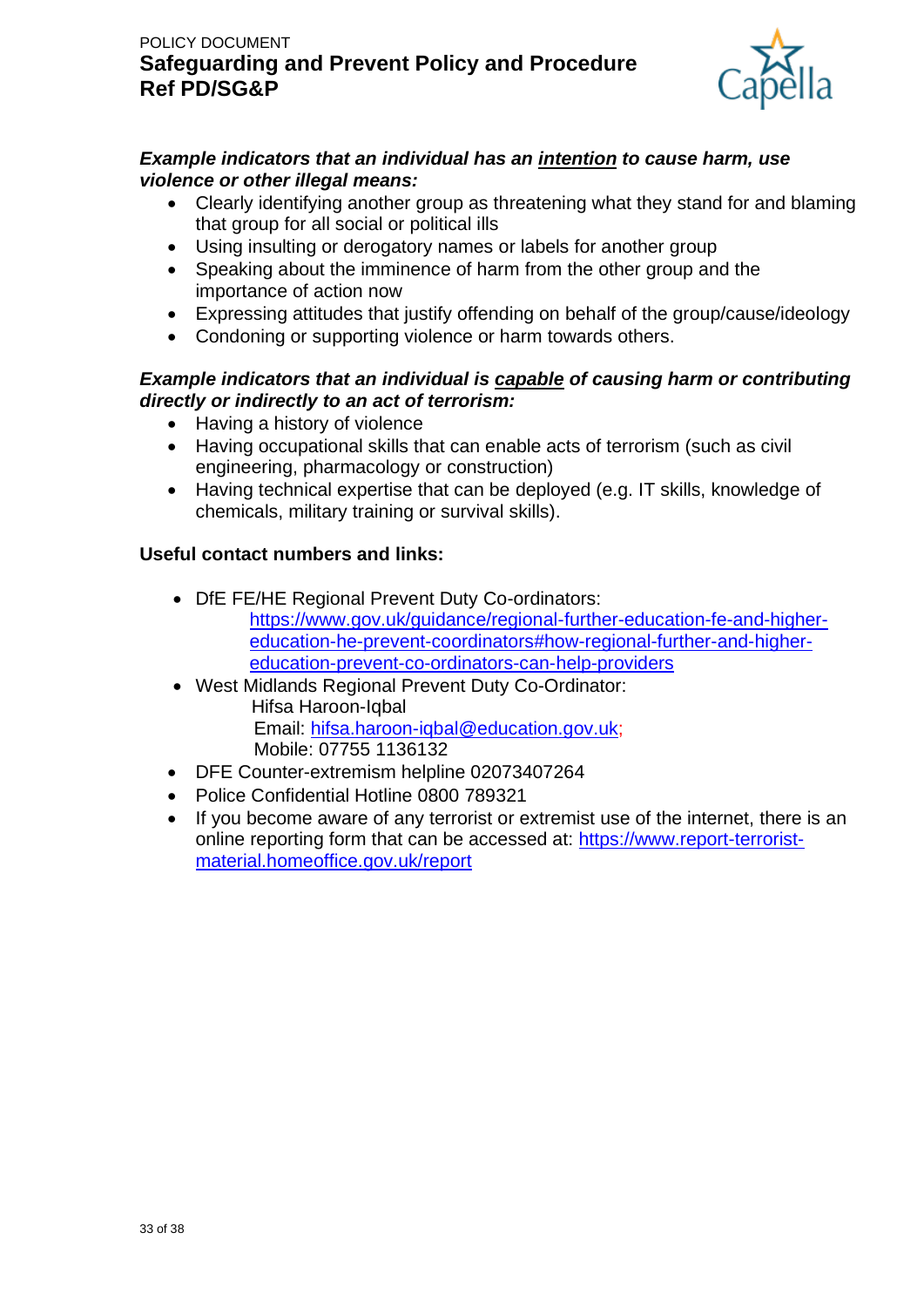

### *Example indicators that an individual has an intention to cause harm, use violence or other illegal means:*

- Clearly identifying another group as threatening what they stand for and blaming that group for all social or political ills
- Using insulting or derogatory names or labels for another group
- Speaking about the imminence of harm from the other group and the importance of action now
- Expressing attitudes that justify offending on behalf of the group/cause/ideology
- Condoning or supporting violence or harm towards others.

## *Example indicators that an individual is capable of causing harm or contributing directly or indirectly to an act of terrorism:*

- Having a history of violence
- Having occupational skills that can enable acts of terrorism (such as civil engineering, pharmacology or construction)
- Having technical expertise that can be deployed (e.g. IT skills, knowledge of chemicals, military training or survival skills).

## **Useful contact numbers and links:**

- DfE FE/HE Regional Prevent Duty Co-ordinators: [https://www.gov.uk/guidance/regional-further-education-fe-and-higher](https://www.gov.uk/guidance/regional-further-education-fe-and-higher-education-he-prevent-coordinators#how-regional-further-and-higher-education-prevent-co-ordinators-can-help-providers)[education-he-prevent-coordinators#how-regional-further-and-higher](https://www.gov.uk/guidance/regional-further-education-fe-and-higher-education-he-prevent-coordinators#how-regional-further-and-higher-education-prevent-co-ordinators-can-help-providers)[education-prevent-co-ordinators-can-help-providers](https://www.gov.uk/guidance/regional-further-education-fe-and-higher-education-he-prevent-coordinators#how-regional-further-and-higher-education-prevent-co-ordinators-can-help-providers)
- West Midlands Regional Prevent Duty Co-Ordinator: Hifsa Haroon-Iqbal Email: [hifsa.haroon-iqbal@education.gov.uk;](mailto:hifsa.haroon-iqbal@education.gov.uk) Mobile: 07755 1136132
- DFE Counter-extremism helpline 02073407264
- Police Confidential Hotline 0800 789321
- If you become aware of any terrorist or extremist use of the internet, there is an online reporting form that can be accessed at: [https://www.report-terrorist](https://www.report-terrorist-material.homeoffice.gov.uk/report)[material.homeoffice.gov.uk/report](https://www.report-terrorist-material.homeoffice.gov.uk/report)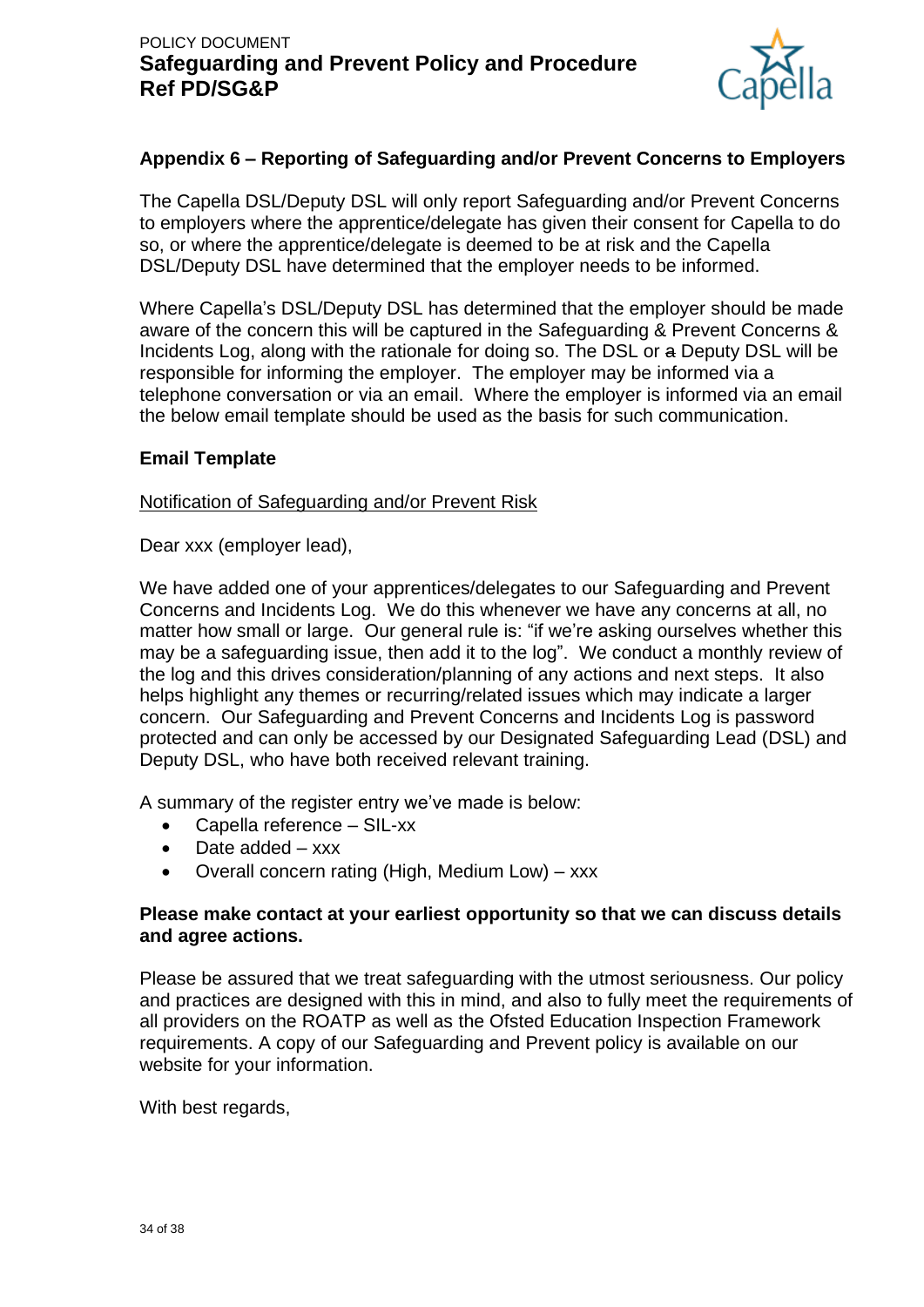

## **Appendix 6 – Reporting of Safeguarding and/or Prevent Concerns to Employers**

The Capella DSL/Deputy DSL will only report Safeguarding and/or Prevent Concerns to employers where the apprentice/delegate has given their consent for Capella to do so, or where the apprentice/delegate is deemed to be at risk and the Capella DSL/Deputy DSL have determined that the employer needs to be informed.

Where Capella's DSL/Deputy DSL has determined that the employer should be made aware of the concern this will be captured in the Safeguarding & Prevent Concerns & Incidents Log, along with the rationale for doing so. The DSL or a Deputy DSL will be responsible for informing the employer. The employer may be informed via a telephone conversation or via an email. Where the employer is informed via an email the below email template should be used as the basis for such communication.

### **Email Template**

#### Notification of Safeguarding and/or Prevent Risk

Dear xxx (employer lead),

We have added one of your apprentices/delegates to our Safeguarding and Prevent Concerns and Incidents Log. We do this whenever we have any concerns at all, no matter how small or large. Our general rule is: "if we're asking ourselves whether this may be a safeguarding issue, then add it to the log". We conduct a monthly review of the log and this drives consideration/planning of any actions and next steps. It also helps highlight any themes or recurring/related issues which may indicate a larger concern. Our Safeguarding and Prevent Concerns and Incidents Log is password protected and can only be accessed by our Designated Safeguarding Lead (DSL) and Deputy DSL, who have both received relevant training.

A summary of the register entry we've made is below:

- Capella reference SIL-xx
- Date added xxx
- Overall concern rating (High, Medium Low) xxx

#### **Please make contact at your earliest opportunity so that we can discuss details and agree actions.**

Please be assured that we treat safeguarding with the utmost seriousness. Our policy and practices are designed with this in mind, and also to fully meet the requirements of all providers on the ROATP as well as the Ofsted Education Inspection Framework requirements. A copy of our Safeguarding and Prevent policy is available on our website for your information.

With best regards,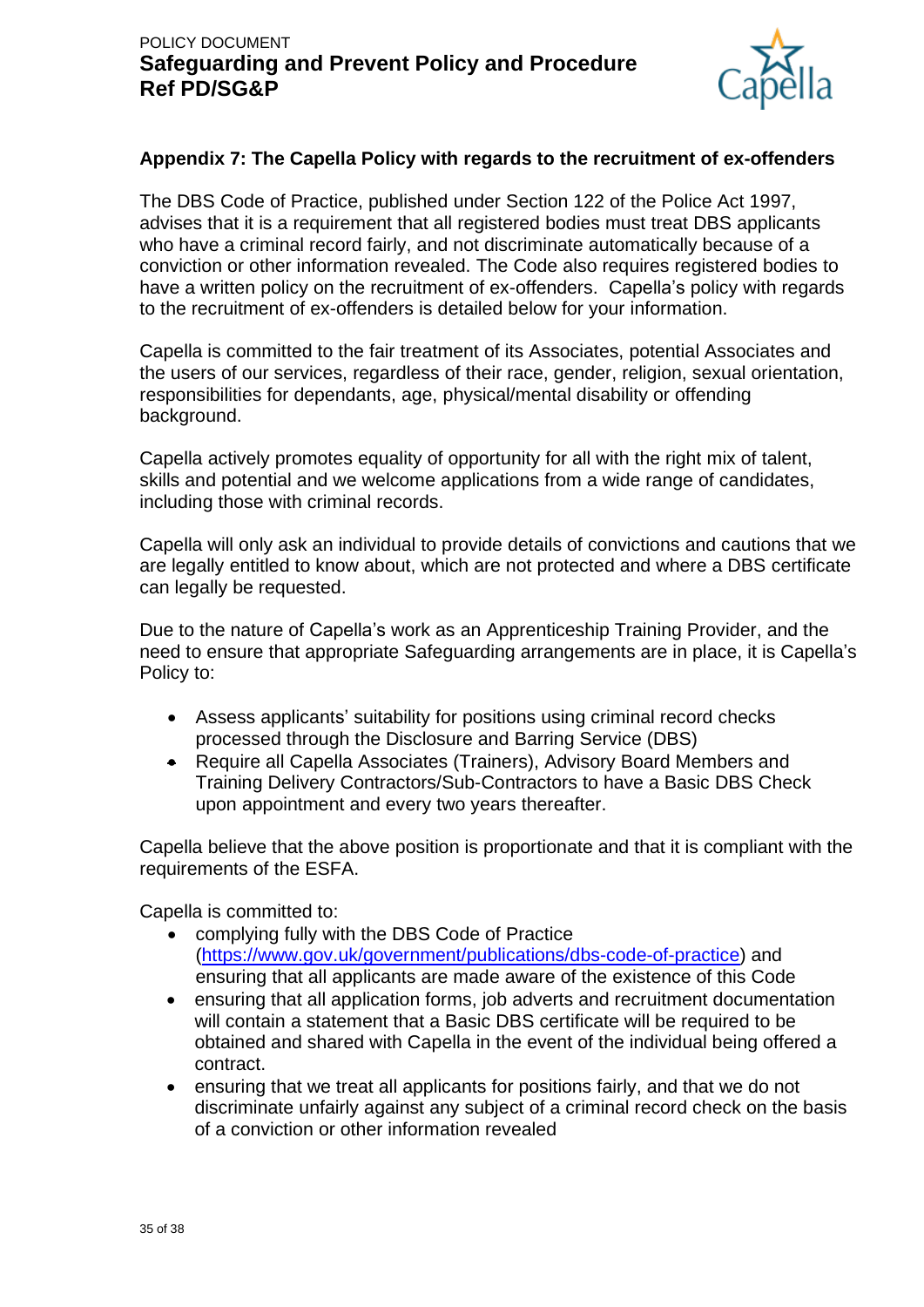

### **Appendix 7: The Capella Policy with regards to the recruitment of ex-offenders**

The DBS Code of Practice, published under Section 122 of the Police Act 1997, advises that it is a requirement that all registered bodies must treat DBS applicants who have a criminal record fairly, and not discriminate automatically because of a conviction or other information revealed. The Code also requires registered bodies to have a written policy on the recruitment of ex-offenders. Capella's policy with regards to the recruitment of ex-offenders is detailed below for your information.

Capella is committed to the fair treatment of its Associates, potential Associates and the users of our services, regardless of their race, gender, religion, sexual orientation, responsibilities for dependants, age, physical/mental disability or offending background.

Capella actively promotes equality of opportunity for all with the right mix of talent, skills and potential and we welcome applications from a wide range of candidates, including those with criminal records.

Capella will only ask an individual to provide details of convictions and cautions that we are legally entitled to know about, which are not protected and where a DBS certificate can legally be requested.

Due to the nature of Capella's work as an Apprenticeship Training Provider, and the need to ensure that appropriate Safeguarding arrangements are in place, it is Capella's Policy to:

- Assess applicants' suitability for positions using criminal record checks processed through the Disclosure and Barring Service (DBS)
- Require all Capella Associates (Trainers), Advisory Board Members and Training Delivery Contractors/Sub-Contractors to have a Basic DBS Check upon appointment and every two years thereafter.

Capella believe that the above position is proportionate and that it is compliant with the requirements of the ESFA.

Capella is committed to:

- complying fully with the DBS Code of Practice [\(https://www.gov.uk/government/publications/dbs-code-of-practice\)](https://www.gov.uk/government/publications/dbs-code-of-practice) and ensuring that all applicants are made aware of the existence of this Code
- ensuring that all application forms, job adverts and recruitment documentation will contain a statement that a Basic DBS certificate will be required to be obtained and shared with Capella in the event of the individual being offered a contract.
- ensuring that we treat all applicants for positions fairly, and that we do not discriminate unfairly against any subject of a criminal record check on the basis of a conviction or other information revealed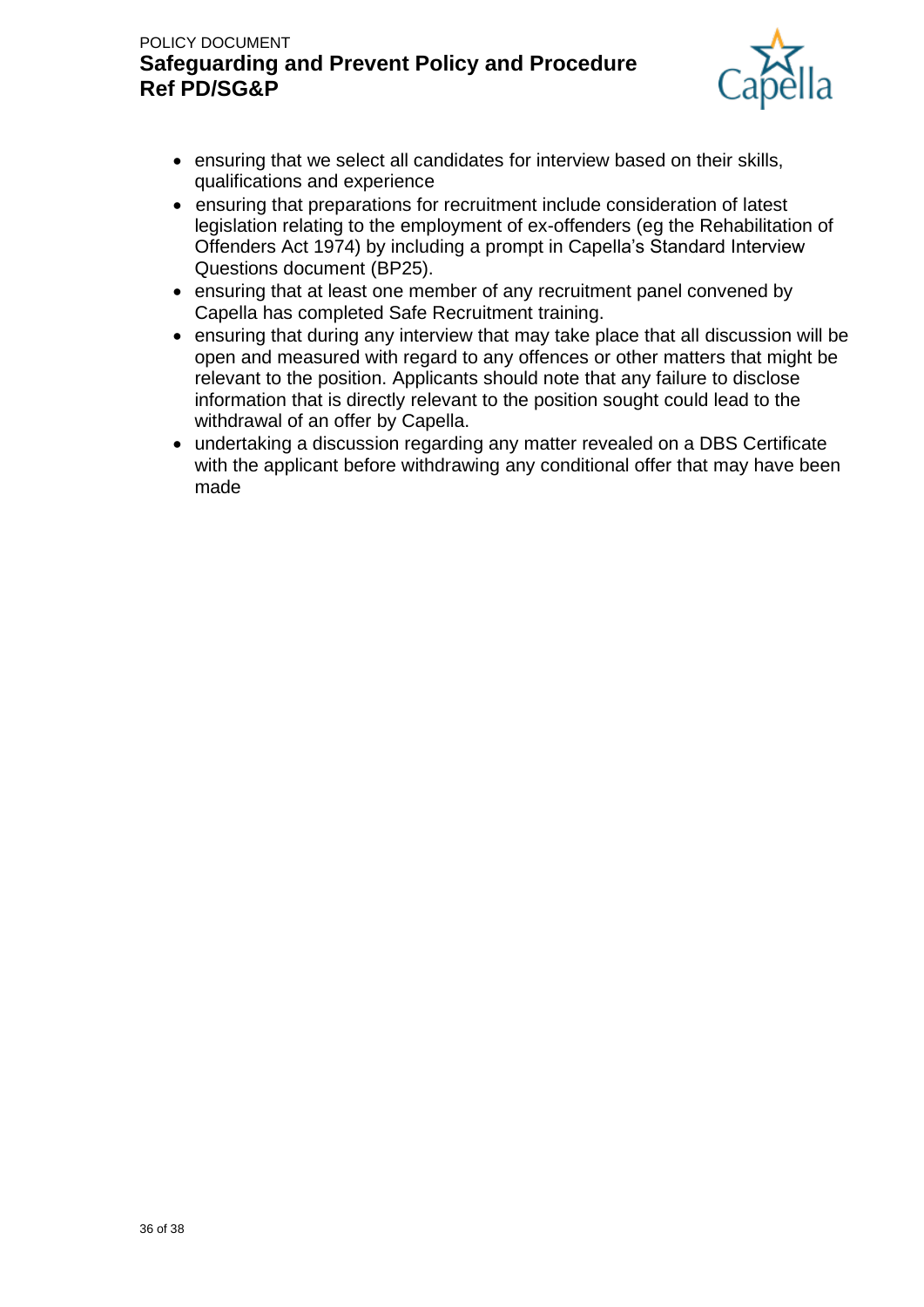

- ensuring that we select all candidates for interview based on their skills, qualifications and experience
- ensuring that preparations for recruitment include consideration of latest legislation relating to the employment of ex-offenders (eg the Rehabilitation of Offenders Act 1974) by including a prompt in Capella's Standard Interview Questions document (BP25).
- ensuring that at least one member of any recruitment panel convened by Capella has completed Safe Recruitment training.
- ensuring that during any interview that may take place that all discussion will be open and measured with regard to any offences or other matters that might be relevant to the position. Applicants should note that any failure to disclose information that is directly relevant to the position sought could lead to the withdrawal of an offer by Capella.
- undertaking a discussion regarding any matter revealed on a DBS Certificate with the applicant before withdrawing any conditional offer that may have been made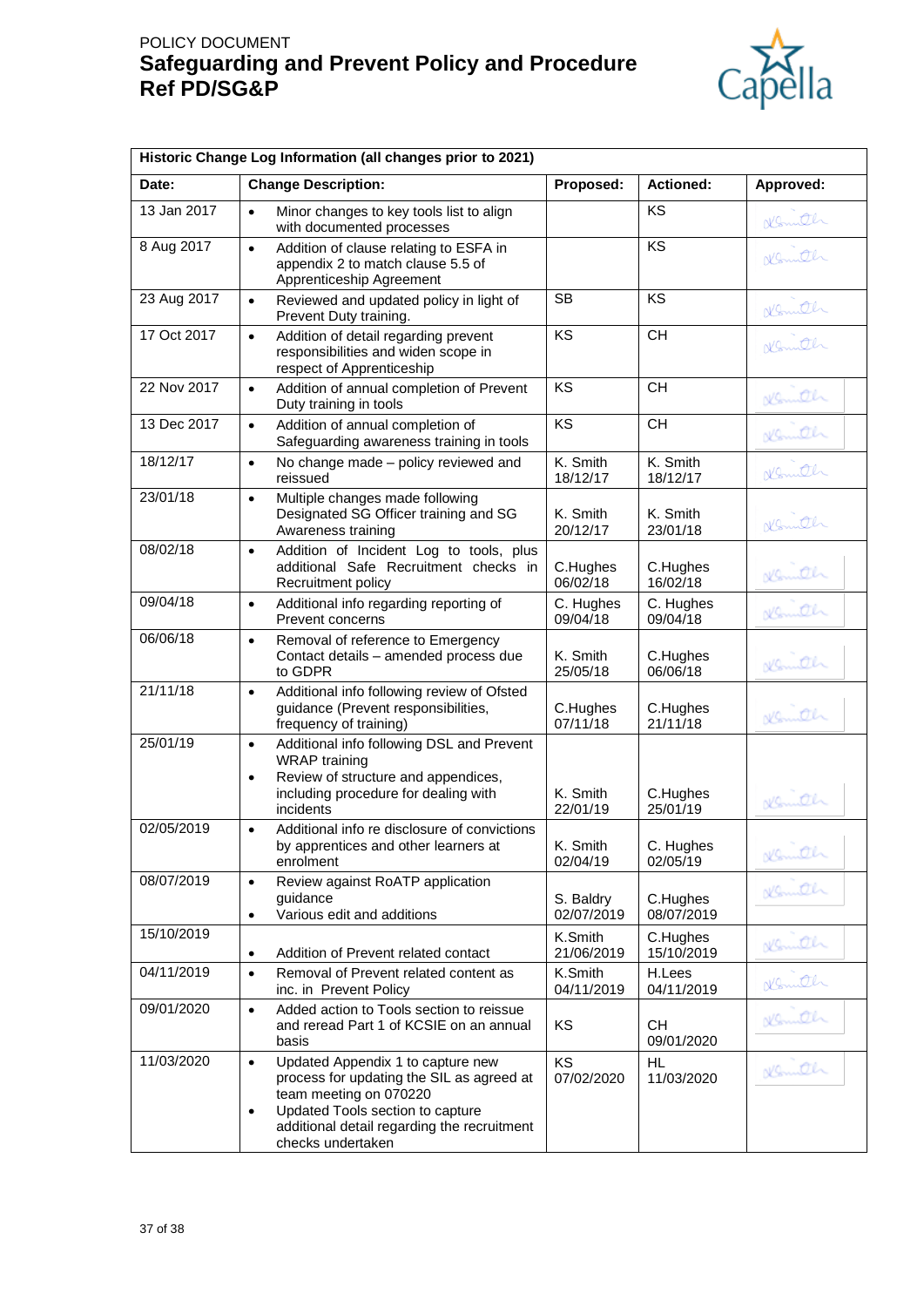

|             | Historic Change Log Information (all changes prior to 2021)                                                                                                                                                                                |                         |                         |           |  |
|-------------|--------------------------------------------------------------------------------------------------------------------------------------------------------------------------------------------------------------------------------------------|-------------------------|-------------------------|-----------|--|
| Date:       | <b>Change Description:</b>                                                                                                                                                                                                                 | Proposed:               | <b>Actioned:</b>        | Approved: |  |
| 13 Jan 2017 | $\bullet$<br>Minor changes to key tools list to align<br>with documented processes                                                                                                                                                         |                         | KS                      | Nemith    |  |
| 8 Aug 2017  | Addition of clause relating to ESFA in<br>$\bullet$<br>appendix 2 to match clause 5.5 of<br>Apprenticeship Agreement                                                                                                                       |                         | KS                      | Nomith    |  |
| 23 Aug 2017 | Reviewed and updated policy in light of<br>$\bullet$<br>Prevent Duty training.                                                                                                                                                             | SВ                      | KS                      | Komth     |  |
| 17 Oct 2017 | Addition of detail regarding prevent<br>$\bullet$<br>responsibilities and widen scope in<br>respect of Apprenticeship                                                                                                                      | KS                      | <b>CH</b>               | Normell   |  |
| 22 Nov 2017 | Addition of annual completion of Prevent<br>$\bullet$<br>Duty training in tools                                                                                                                                                            | KS                      | <b>CH</b>               | Kenneth   |  |
| 13 Dec 2017 | Addition of annual completion of<br>$\bullet$<br>Safeguarding awareness training in tools                                                                                                                                                  | KS                      | CH                      | Kenneth   |  |
| 18/12/17    | No change made - policy reviewed and<br>$\bullet$<br>reissued                                                                                                                                                                              | K. Smith<br>18/12/17    | K. Smith<br>18/12/17    | Konnth    |  |
| 23/01/18    | Multiple changes made following<br>$\bullet$<br>Designated SG Officer training and SG<br>Awareness training                                                                                                                                | K. Smith<br>20/12/17    | K. Smith<br>23/01/18    | Komth     |  |
| 08/02/18    | Addition of Incident Log to tools, plus<br>$\bullet$<br>additional Safe Recruitment checks in<br>Recruitment policy                                                                                                                        | C.Hughes<br>06/02/18    | C.Hughes<br>16/02/18    | Kemith    |  |
| 09/04/18    | Additional info regarding reporting of<br>$\bullet$<br>Prevent concerns                                                                                                                                                                    | C. Hughes<br>09/04/18   | C. Hughes<br>09/04/18   | Kemith    |  |
| 06/06/18    | Removal of reference to Emergency<br>$\bullet$<br>Contact details - amended process due<br>to GDPR                                                                                                                                         | K. Smith<br>25/05/18    | C.Hughes<br>06/06/18    | Kemith    |  |
| 21/11/18    | Additional info following review of Ofsted<br>$\bullet$<br>guidance (Prevent responsibilities,<br>frequency of training)                                                                                                                   | C.Hughes<br>07/11/18    | C.Hughes<br>21/11/18    | Nemeth    |  |
| 25/01/19    | Additional info following DSL and Prevent<br>$\bullet$<br><b>WRAP</b> training<br>Review of structure and appendices,<br>$\bullet$<br>including procedure for dealing with<br>incidents                                                    | K. Smith<br>22/01/19    | C.Hughes<br>25/01/19    | Nemith    |  |
| 02/05/2019  | Additional info re disclosure of convictions<br>$\bullet$<br>by apprentices and other learners at<br>enrolment                                                                                                                             | K. Smith<br>02/04/19    | C. Hughes<br>02/05/19   | Kenneth   |  |
| 08/07/2019  | Review against RoATP application<br>$\bullet$<br>guidance<br>Various edit and additions<br>$\bullet$                                                                                                                                       | S. Baldry<br>02/07/2019 | C.Hughes<br>08/07/2019  | Kenneth   |  |
| 15/10/2019  | Addition of Prevent related contact<br>$\bullet$                                                                                                                                                                                           | K.Smith<br>21/06/2019   | C.Hughes<br>15/10/2019  | Nemath    |  |
| 04/11/2019  | Removal of Prevent related content as<br>$\bullet$<br>inc. in Prevent Policy                                                                                                                                                               | K.Smith<br>04/11/2019   | H.Lees<br>04/11/2019    | Nemith    |  |
| 09/01/2020  | Added action to Tools section to reissue<br>$\bullet$<br>and reread Part 1 of KCSIE on an annual<br>basis                                                                                                                                  | KS                      | <b>CH</b><br>09/01/2020 | Nemath    |  |
| 11/03/2020  | Updated Appendix 1 to capture new<br>$\bullet$<br>process for updating the SIL as agreed at<br>team meeting on 070220<br>Updated Tools section to capture<br>$\bullet$<br>additional detail regarding the recruitment<br>checks undertaken | <b>KS</b><br>07/02/2020 | HL.<br>11/03/2020       | Kenneth   |  |